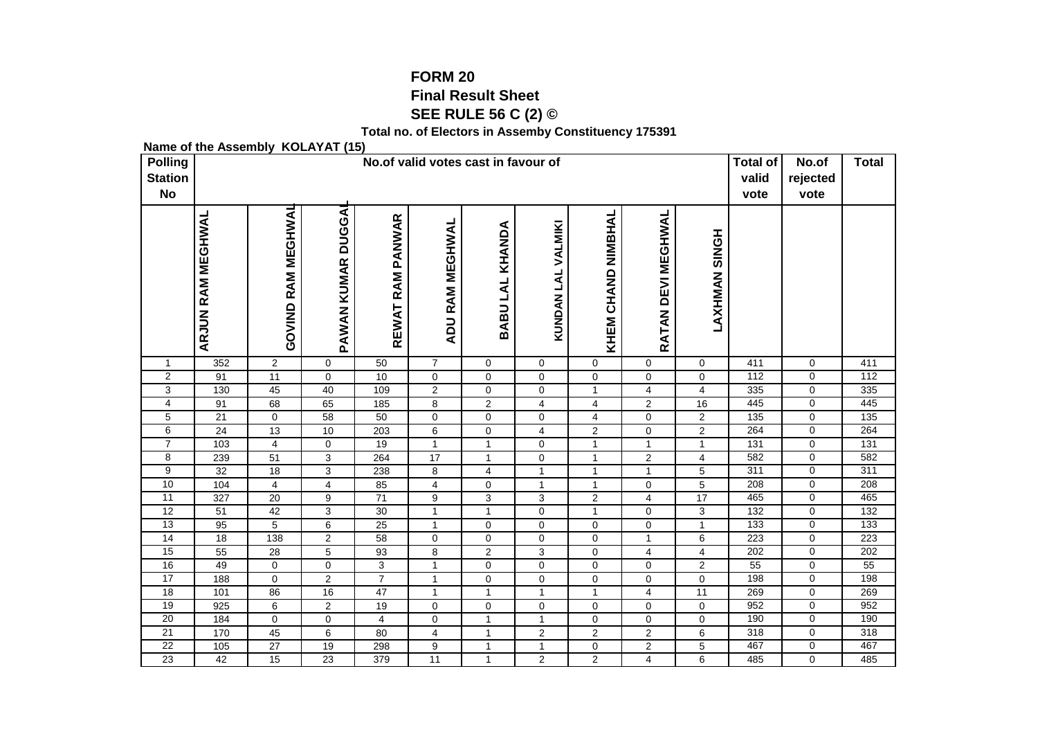## **FORM 20 Final Result SheetSEE RULE 56 C (2) ©**

**Total no. of Electors in Assemby Constituency 175391**

**Name of the Assembly KOLAYAT (15)**

| <b>Polling</b><br><b>Station</b><br><b>No</b> |                          |                       |                    |                            | <b>Total of</b><br>valid<br>vote | No.of<br>rejected<br>vote     | <b>Total</b>                 |                    |                         |                         |            |                  |                  |
|-----------------------------------------------|--------------------------|-----------------------|--------------------|----------------------------|----------------------------------|-------------------------------|------------------------------|--------------------|-------------------------|-------------------------|------------|------------------|------------------|
|                                               | <b>ARJUN RAM MEGHWAL</b> | RAM MEGHWAL<br>GOVIND | PAWAN KUMAR DUGGAI | <b>RAM PANWAR</b><br>REWAT | <b>ADU RAM MEGHWAL</b>           | KHANDA<br><b>BABULAL</b>      | VALMIKI<br><b>KUNDAN LAL</b> | KHEM CHAND NIMBHAL | RATAN DEVI MEGHWAL      | <b>LAXHMAN SINGH</b>    |            |                  |                  |
| $\mathbf{1}$                                  | 352                      | $\overline{2}$        | $\mathbf 0$        | 50                         | $\overline{7}$                   | $\mathbf 0$                   | $\mathbf 0$                  | $\mathbf 0$        | 0                       | $\mathbf 0$             | 411        | $\mathbf 0$      | 411              |
| $\overline{2}$                                | 91                       | $\overline{11}$       | 0                  | 10                         | 0                                | $\mathbf 0$                   | $\mathbf 0$                  | 0                  | $\mathbf 0$             | $\mathbf 0$             | 112        | $\mathbf 0$      | 112              |
| 3                                             | 130                      | 45                    | 40                 | 109                        | $\overline{2}$                   | 0                             | $\mathbf 0$                  | $\mathbf{1}$       | $\overline{\mathbf{4}}$ | $\overline{4}$          | 335        | $\mathbf 0$      | 335              |
| 4                                             | 91                       | 68                    | 65                 | 185                        | 8                                | $\overline{c}$                | $\overline{4}$               | 4                  | $\overline{c}$          | 16                      | 445        | $\mathbf 0$      | 445              |
| 5                                             | 21                       | $\mathbf 0$           | 58                 | 50                         | $\mathbf 0$                      | $\pmb{0}$                     | 0                            | 4                  | 0                       | $\overline{c}$          | 135        | $\mathbf 0$      | 135              |
| 6                                             | 24                       | 13                    | 10                 | 203                        | 6                                | $\pmb{0}$                     | $\overline{4}$               | $\overline{2}$     | 0                       | $\overline{2}$          | 264        | 0                | 264              |
| $\overline{7}$                                | $\frac{10}{3}$           | 4                     | 0                  | 19                         | $\mathbf{1}$                     | $\mathbf{1}$                  | 0                            | $\mathbf{1}$       | $\mathbf{1}$            | $\mathbf{1}$            | 131        | $\pmb{0}$        | 131              |
| 8                                             | 239                      | 51                    | 3                  | 264                        | 17                               | $\mathbf{1}$                  | $\mathbf 0$                  | $\mathbf{1}$       | $\overline{2}$          | $\overline{\mathbf{4}}$ | 582        | $\pmb{0}$        | 582              |
| $\overline{9}$                                | $\overline{32}$          | $\overline{18}$       | $\overline{3}$     | 238                        | 8                                | 4                             | $\mathbf{1}$                 | 1                  | $\mathbf 1$             | $\mathbf 5$             | 311        | $\pmb{0}$        | 311              |
| 10                                            | 104                      | 4                     | 4                  | 85                         | 4                                | $\pmb{0}$                     | $\mathbf{1}$                 | $\mathbf{1}$       | $\mathbf 0$             | $\mathbf 5$             | 208        | $\pmb{0}$        | 208              |
| 11                                            | 327                      | $\overline{20}$       | 9                  | $\overline{71}$            | $\boldsymbol{9}$                 | $\overline{3}$                | 3                            | $\sqrt{2}$         | $\overline{4}$          | $\overline{17}$         | 465        | $\mathbf 0$      | 465              |
| 12                                            | 51                       | 42                    | 3                  | 30                         | $\mathbf{1}$                     | $\mathbf{1}$                  | 0                            | $\mathbf{1}$       | $\mathbf 0$             | 3                       | 132        | 0                | $\overline{132}$ |
| 13                                            | 95                       | 5                     | 6                  | 25                         | $\mathbf{1}$                     | $\mathbf 0$                   | $\mathbf 0$                  | $\mathbf 0$        | $\mathbf 0$             | $\mathbf{1}$            | 133        | $\mathbf 0$      | 133              |
| $\overline{14}$<br>15                         | 18                       | 138                   | $\overline{2}$     | 58                         | $\mathbf 0$                      | $\mathbf 0$                   | 0                            | 0<br>0             | $\mathbf{1}$            | 6                       | 223<br>202 | $\mathbf 0$<br>0 | 223<br>202       |
| 16                                            | 55<br>49                 | 28<br>$\mathbf 0$     | 5<br>$\mathbf 0$   | 93<br>$\overline{3}$       | 8<br>$\mathbf{1}$                | $\overline{2}$<br>$\mathbf 0$ | 3<br>$\mathbf 0$             | 0                  | 4<br>$\mathbf 0$        | 4<br>$\overline{2}$     | 55         | $\mathbf 0$      | 55               |
| 17                                            | 188                      | $\mathbf 0$           | $\overline{2}$     | $\overline{7}$             | $\mathbf{1}$                     | $\pmb{0}$                     | $\mathbf 0$                  | 0                  | $\mathbf 0$             | 0                       | 198        | 0                | 198              |
| 18                                            | 101                      | 86                    | 16                 | $\overline{47}$            | $\mathbf{1}$                     | $\mathbf{1}$                  | $\mathbf{1}$                 | $\mathbf{1}$       | $\overline{\mathbf{4}}$ | $\overline{11}$         | 269        | $\pmb{0}$        | 269              |
| 19                                            | 925                      | 6                     | $\sqrt{2}$         | 19                         | $\mathbf 0$                      | $\mathbf 0$                   | $\mathbf 0$                  | $\pmb{0}$          | $\mathsf 0$             | $\mathbf 0$             | 952        | $\mathbf 0$      | 952              |
| 20                                            | 184                      | $\mathbf 0$           | $\mathbf 0$        | 4                          | $\mathbf 0$                      | $\mathbf{1}$                  | $\mathbf{1}$                 | 0                  | $\mathbf 0$             | $\mathbf 0$             | 190        | $\mathbf 0$      | 190              |
| 21                                            | 170                      | 45                    | 6                  | 80                         | $\overline{4}$                   | $\mathbf{1}$                  | 2                            | $\overline{2}$     | $\overline{2}$          | 6                       | 318        | $\mathbf 0$      | 318              |
| $\overline{22}$                               | 105                      | 27                    | 19                 | 298                        | 9                                | $\mathbf{1}$                  | $\mathbf{1}$                 | $\overline{0}$     | $\overline{2}$          | 5                       | 467        | $\mathbf 0$      | 467              |
| $\overline{23}$                               | 42                       | 15                    | 23                 | 379                        | 11                               | $\mathbf{1}$                  | $\overline{2}$               | $\overline{2}$     | 4                       | 6                       | 485        | $\mathbf 0$      | 485              |
|                                               |                          |                       |                    |                            |                                  |                               |                              |                    |                         |                         |            |                  |                  |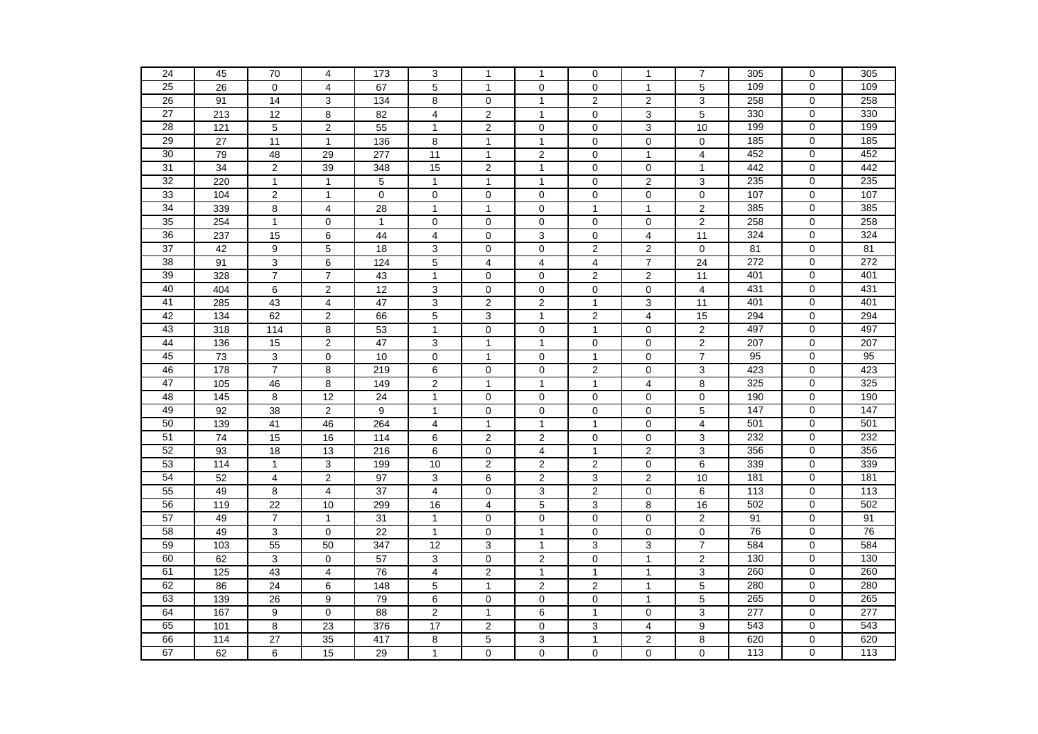| 25<br>$\overline{5}$<br>$\overline{5}$<br>$\overline{26}$<br>67<br>0<br>109<br>$\mathbf 0$<br>109<br>$\mathbf 0$<br>$\overline{4}$<br>$\mathbf{1}$<br>$\mathbf 0$<br>$\mathbf{1}$<br>$\overline{c}$<br>258<br>258<br>26<br>91<br>3<br>134<br>8<br>2<br>3<br>$\mathbf 0$<br>14<br>$\mathbf 0$<br>$\mathbf{1}$<br>27<br>5<br>330<br>0<br>330<br>213<br>12<br>8<br>82<br>4<br>2<br>0<br>3<br>$\mathbf{1}$<br>28<br>199<br>$\mathbf 0$<br>199<br>121<br>5<br>$\overline{2}$<br>55<br>$\mathbf{1}$<br>$\overline{2}$<br>$\mathbf 0$<br>3<br>10<br>$\mathbf 0$<br>29<br>27<br>$\mathbf 0$<br>185<br>$\mathbf 0$<br>185<br>11<br>$\mathbf{1}$<br>136<br>8<br>$\mathbf{1}$<br>$\overline{1}$<br>$\mathbf 0$<br>$\mathbf 0$<br>452<br>30<br>$\overline{11}$<br>452<br>$\mathbf 0$<br>79<br>48<br>29<br>277<br>$\overline{2}$<br>0<br>$\mathbf{1}$<br>$\overline{4}$<br>$\mathbf{1}$<br>$\overline{31}$<br>$\overline{34}$<br>$\overline{2}$<br>39<br>$\overline{2}$<br>$\mathbf 0$<br>442<br>$\mathbf 0$<br>442<br>348<br>15<br>$\overline{1}$<br>0<br>$\mathbf{1}$<br>32<br>235<br>220<br>5<br>0<br>$\overline{2}$<br>$\overline{3}$<br>235<br>$\Omega$<br>$\mathbf{1}$<br>$\mathbf{1}$<br>$\mathbf{1}$<br>$\mathbf{1}$<br>$\mathbf{1}$<br>33<br>104<br>$\mathbf 2$<br>107<br>$\mathbf 0$<br>107<br>$\mathbf{1}$<br>$\mathbf 0$<br>$\mathbf 0$<br>$\pmb{0}$<br>$\mathbf 0$<br>0<br>0<br>$\mathbf 0$<br>34<br>385<br>385<br>$\overline{2}$<br>$\mathbf 0$<br>339<br>8<br>4<br>28<br>$\mathbf{1}$<br>$\mathbf 0$<br>$\mathbf{1}$<br>$\mathbf{1}$<br>$\mathbf{1}$<br>35<br>$\overline{c}$<br>258<br>$\mathbf 0$<br>258<br>254<br>$\mathbf{1}$<br>$\mathbf 0$<br>$\mathbf{1}$<br>$\mathbf 0$<br>$\pmb{0}$<br>$\mathbf 0$<br>$\mathbf 0$<br>0<br>36<br>324<br>324<br>237<br>15<br>6<br>44<br>4<br>$\pmb{0}$<br>3<br>0<br>4<br>11<br>$\mathbf 0$<br>$\overline{37}$<br>$\overline{2}$<br>81<br>42<br>9<br>5<br>18<br>3<br>0<br>$\mathbf 0$<br>2<br>$\mathbf 0$<br>81<br>$\mathbf 0$<br>38<br>$\overline{5}$<br>$\overline{7}$<br>272<br>$\overline{0}$<br>272<br>91<br>$\mathsf 3$<br>6<br>124<br>$\overline{4}$<br>$\overline{4}$<br>$\overline{4}$<br>24<br>39<br>$\overline{7}$<br>$\overline{7}$<br>$\overline{2}$<br>$\overline{2}$<br>401<br>$\mathbf 0$<br>401<br>328<br>$\mathbf{1}$<br>$\mathbf 0$<br>$\mathbf 0$<br>11<br>43<br>40<br>12<br>431<br>$\mathbf 0$<br>431<br>404<br>6<br>$\overline{\mathbf{c}}$<br>3<br>$\pmb{0}$<br>0<br>$\mathbf 0$<br>0<br>4<br>$\overline{3}$<br>$\overline{2}$<br>41<br>285<br>43<br>$\overline{\mathbf{4}}$<br>$\overline{47}$<br>$\overline{\mathbf{c}}$<br>$\mathbf{1}$<br>3<br>$\overline{11}$<br>401<br>$\mathbf 0$<br>401<br>42<br>$\overline{5}$<br>$\overline{2}$<br>294<br>$\mathbf 0$<br>294<br>$\frac{1}{134}$<br>62<br>$\overline{c}$<br>66<br>3<br>$\overline{1}$<br>$\overline{4}$<br>15<br>43<br>497<br>0<br>497<br>318<br>8<br>53<br>$\mathbf{1}$<br>0<br>$\mathbf 0$<br>0<br>$\overline{\mathbf{c}}$<br>114<br>$\mathbf{1}$<br>44<br>$\overline{2}$<br>$\overline{c}$<br>207<br>$\mathbf 0$<br>207<br>136<br>47<br>3<br>$\overline{1}$<br>$\mathbf 0$<br>0<br>15<br>$\mathbf{1}$<br>45<br>$\overline{73}$<br>$\mathbf{3}$<br>10<br>$\overline{7}$<br>95<br>$\mathbf 0$<br>95<br>$\mathbf 0$<br>$\mathbf 0$<br>$\mathbf{1}$<br>$\mathbf 0$<br>$\mathbf{1}$<br>$\mathbf 0$<br>46<br>178<br>$\overline{7}$<br>$\overline{2}$<br>423<br>$\mathbf 0$<br>423<br>8<br>219<br>6<br>$\pmb{0}$<br>$\mathbf 0$<br>0<br>3<br>47<br>$\overline{c}$<br>8<br>325<br>$\mathbf 0$<br>325<br>105<br>8<br>$\overline{1}$<br>$\mathbf{1}$<br>4<br>46<br>149<br>$\mathbf{1}$<br>48<br>145<br>$\mathbf 0$<br>$\mathbf 0$<br>$\mathbf 0$<br>$\mathbf 0$<br>190<br>$\Omega$<br>190<br>8<br>12<br>$\overline{24}$<br>$\mathbf{1}$<br>0<br>49<br>$\sqrt{2}$<br>147<br>$\mathbf 0$<br>147<br>92<br>38<br>9<br>$\mathbf{1}$<br>$\pmb{0}$<br>$\mathbf 0$<br>0<br>0<br>5<br>50<br>501<br>501<br>264<br>$\overline{\mathbf{4}}$<br>4<br>$\mathbf 0$<br>139<br>41<br>46<br>$\mathbf{1}$<br>$\mathbf{1}$<br>$\mathbf 0$<br>$\mathbf{1}$<br>51<br>74<br>$\pmb{0}$<br>232<br>$\overline{15}$<br>16<br>$\frac{114}{114}$<br>6<br>$\overline{2}$<br>$\overline{2}$<br>$\pmb{0}$<br>$\pmb{0}$<br>3<br>232<br>52<br>3<br>356<br>93<br>13<br>6<br>$\pmb{0}$<br>$\mathbf{1}$<br>2<br>356<br>$\mathbf 0$<br>18<br>216<br>4<br>53<br>339<br>339<br>114<br>3<br>199<br>10<br>$\overline{2}$<br>$\overline{2}$<br>$\overline{2}$<br>0<br>6<br>$\mathbf 0$<br>$\mathbf{1}$<br>54<br>$\overline{0}$<br>181<br>$\overline{4}$<br>$\overline{2}$<br>$\overline{97}$<br>3<br>6<br>$\overline{2}$<br>3<br>$\overline{c}$<br>181<br>52<br>10<br>55<br>$\overline{2}$<br>$\mathbf 0$<br>113<br>8<br>37<br>4<br>3<br>0<br>6<br>113<br>49<br>4<br>0<br>56<br>502<br>$\mathbf 0$<br>502<br>119<br>22<br>10<br>299<br>16<br>4<br>5<br>3<br>8<br>16<br>57<br>$\overline{7}$<br>31<br>0<br>$\pmb{0}$<br>$\overline{c}$<br>91<br>$\Omega$<br>91<br>49<br>$\mathbf{1}$<br>$\mathbf{1}$<br>$\pmb{0}$<br>$\mathbf 0$<br>58<br>76<br>$\mathbf 0$<br>76<br>49<br>3<br>$\mathbf 0$<br>$\overline{22}$<br>$\mathbf{1}$<br>$\mathbf 0$<br>$\overline{1}$<br>$\pmb{0}$<br>$\pmb{0}$<br>$\pmb{0}$<br>59<br>584<br>3<br>$\boldsymbol{7}$<br>584<br>$\mathbf 0$<br>103<br>55<br>50<br>347<br>12<br>3<br>3<br>$\mathbf{1}$<br>60<br>$\overline{2}$<br>130<br>130<br>62<br>3<br>$\mathbf 0$<br>$\overline{57}$<br>3<br>$\pmb{0}$<br>$\overline{2}$<br>$\mathbf 0$<br>$\mathbf{1}$<br>$\mathbf 0$<br>61<br>$\overline{4}$<br>$\overline{\mathbf{4}}$<br>260<br>$\mathbf 0$<br>260<br>125<br>43<br>76<br>$\mathbf{2}$<br>$\mathbf{1}$<br>$\mathbf{1}$<br>3<br>$\mathbf{1}$<br>62<br>$\overline{5}$<br>$\overline{2}$<br>$\overline{5}$<br>280<br>86<br>148<br>$\overline{2}$<br>280<br>$\mathbf 0$<br>24<br>6<br>$\mathbf{1}$<br>$\mathbf{1}$<br>63<br>5<br>$\mathbf 0$<br>265<br>139<br>9<br>79<br>6<br>$\pmb{0}$<br>$\mathbf 0$<br>0<br>265<br>26<br>$\mathbf{1}$<br>277<br>64<br>$\overline{0}$<br>$\overline{c}$<br>3<br>277<br>$\mathbf 0$<br>167<br>9<br>88<br>$\mathbf{1}$<br>6<br>$\mathbf{1}$<br>0<br>65<br>543<br>543<br>101<br>8<br>23<br>376<br>17<br>$\mathbf 2$<br>0<br>3<br>4<br>9<br>$\mathbf 0$<br>66<br>620<br>$\mathbf 0$<br>620<br>114<br>27<br>35<br>417<br>8<br>5<br>3<br>$\mathbf{1}$<br>2<br>8<br>67<br>6<br>15<br>$\mathbf{1}$<br>$\pmb{0}$<br>$\mathbf 0$<br>0<br>0<br>$\mathbf 0$<br>113<br>0<br>113<br>62<br>29 |    |    |    |                |     |   |   |              |             |              |   |     |             |     |
|----------------------------------------------------------------------------------------------------------------------------------------------------------------------------------------------------------------------------------------------------------------------------------------------------------------------------------------------------------------------------------------------------------------------------------------------------------------------------------------------------------------------------------------------------------------------------------------------------------------------------------------------------------------------------------------------------------------------------------------------------------------------------------------------------------------------------------------------------------------------------------------------------------------------------------------------------------------------------------------------------------------------------------------------------------------------------------------------------------------------------------------------------------------------------------------------------------------------------------------------------------------------------------------------------------------------------------------------------------------------------------------------------------------------------------------------------------------------------------------------------------------------------------------------------------------------------------------------------------------------------------------------------------------------------------------------------------------------------------------------------------------------------------------------------------------------------------------------------------------------------------------------------------------------------------------------------------------------------------------------------------------------------------------------------------------------------------------------------------------------------------------------------------------------------------------------------------------------------------------------------------------------------------------------------------------------------------------------------------------------------------------------------------------------------------------------------------------------------------------------------------------------------------------------------------------------------------------------------------------------------------------------------------------------------------------------------------------------------------------------------------------------------------------------------------------------------------------------------------------------------------------------------------------------------------------------------------------------------------------------------------------------------------------------------------------------------------------------------------------------------------------------------------------------------------------------------------------------------------------------------------------------------------------------------------------------------------------------------------------------------------------------------------------------------------------------------------------------------------------------------------------------------------------------------------------------------------------------------------------------------------------------------------------------------------------------------------------------------------------------------------------------------------------------------------------------------------------------------------------------------------------------------------------------------------------------------------------------------------------------------------------------------------------------------------------------------------------------------------------------------------------------------------------------------------------------------------------------------------------------------------------------------------------------------------------------------------------------------------------------------------------------------------------------------------------------------------------------------------------------------------------------------------------------------------------------------------------------------------------------------------------------------------------------------------------------------------------------------------------------------------------------------------------------------------------------------------------------------------------------------------------------------------------------------------------------------------------------------------------------------------------------------------------------------------------------------------------------------------------------------------------------------------------------------------------------------------------------------------------------------------------------------------------------------------------------------------------------------------------------------------------------------------------------------------------------------------------------------------------------------------------------------------------------------------------------------------------------------------------------------------------------------------------------------------------------------------------------------------------------------------------------------------------------------------------------------------------------------------------------------------------------------------------------------------------------------------------------------------------------------------------------------------------------------------------------------------------------------------------------------------------------------------------------------------------------------------------------------------------------------------------------------------------------------------------------------------------------------------------------------------------------------------------|----|----|----|----------------|-----|---|---|--------------|-------------|--------------|---|-----|-------------|-----|
|                                                                                                                                                                                                                                                                                                                                                                                                                                                                                                                                                                                                                                                                                                                                                                                                                                                                                                                                                                                                                                                                                                                                                                                                                                                                                                                                                                                                                                                                                                                                                                                                                                                                                                                                                                                                                                                                                                                                                                                                                                                                                                                                                                                                                                                                                                                                                                                                                                                                                                                                                                                                                                                                                                                                                                                                                                                                                                                                                                                                                                                                                                                                                                                                                                                                                                                                                                                                                                                                                                                                                                                                                                                                                                                                                                                                                                                                                                                                                                                                                                                                                                                                                                                                                                                                                                                                                                                                                                                                                                                                                                                                                                                                                                                                                                                                                                                                                                                                                                                                                                                                                                                                                                                                                                                                                                                                                                                                                                                                                                                                                                                                                                                                                                                                                                                                                                                                                                                                                                                                                                                                                                                                                                                                                                                                                                                                                                                                                | 24 | 45 | 70 | $\overline{4}$ | 173 | 3 | 1 | $\mathbf{1}$ | $\mathbf 0$ | $\mathbf{1}$ | 7 | 305 | $\mathbf 0$ | 305 |
|                                                                                                                                                                                                                                                                                                                                                                                                                                                                                                                                                                                                                                                                                                                                                                                                                                                                                                                                                                                                                                                                                                                                                                                                                                                                                                                                                                                                                                                                                                                                                                                                                                                                                                                                                                                                                                                                                                                                                                                                                                                                                                                                                                                                                                                                                                                                                                                                                                                                                                                                                                                                                                                                                                                                                                                                                                                                                                                                                                                                                                                                                                                                                                                                                                                                                                                                                                                                                                                                                                                                                                                                                                                                                                                                                                                                                                                                                                                                                                                                                                                                                                                                                                                                                                                                                                                                                                                                                                                                                                                                                                                                                                                                                                                                                                                                                                                                                                                                                                                                                                                                                                                                                                                                                                                                                                                                                                                                                                                                                                                                                                                                                                                                                                                                                                                                                                                                                                                                                                                                                                                                                                                                                                                                                                                                                                                                                                                                                |    |    |    |                |     |   |   |              |             |              |   |     |             |     |
|                                                                                                                                                                                                                                                                                                                                                                                                                                                                                                                                                                                                                                                                                                                                                                                                                                                                                                                                                                                                                                                                                                                                                                                                                                                                                                                                                                                                                                                                                                                                                                                                                                                                                                                                                                                                                                                                                                                                                                                                                                                                                                                                                                                                                                                                                                                                                                                                                                                                                                                                                                                                                                                                                                                                                                                                                                                                                                                                                                                                                                                                                                                                                                                                                                                                                                                                                                                                                                                                                                                                                                                                                                                                                                                                                                                                                                                                                                                                                                                                                                                                                                                                                                                                                                                                                                                                                                                                                                                                                                                                                                                                                                                                                                                                                                                                                                                                                                                                                                                                                                                                                                                                                                                                                                                                                                                                                                                                                                                                                                                                                                                                                                                                                                                                                                                                                                                                                                                                                                                                                                                                                                                                                                                                                                                                                                                                                                                                                |    |    |    |                |     |   |   |              |             |              |   |     |             |     |
|                                                                                                                                                                                                                                                                                                                                                                                                                                                                                                                                                                                                                                                                                                                                                                                                                                                                                                                                                                                                                                                                                                                                                                                                                                                                                                                                                                                                                                                                                                                                                                                                                                                                                                                                                                                                                                                                                                                                                                                                                                                                                                                                                                                                                                                                                                                                                                                                                                                                                                                                                                                                                                                                                                                                                                                                                                                                                                                                                                                                                                                                                                                                                                                                                                                                                                                                                                                                                                                                                                                                                                                                                                                                                                                                                                                                                                                                                                                                                                                                                                                                                                                                                                                                                                                                                                                                                                                                                                                                                                                                                                                                                                                                                                                                                                                                                                                                                                                                                                                                                                                                                                                                                                                                                                                                                                                                                                                                                                                                                                                                                                                                                                                                                                                                                                                                                                                                                                                                                                                                                                                                                                                                                                                                                                                                                                                                                                                                                |    |    |    |                |     |   |   |              |             |              |   |     |             |     |
|                                                                                                                                                                                                                                                                                                                                                                                                                                                                                                                                                                                                                                                                                                                                                                                                                                                                                                                                                                                                                                                                                                                                                                                                                                                                                                                                                                                                                                                                                                                                                                                                                                                                                                                                                                                                                                                                                                                                                                                                                                                                                                                                                                                                                                                                                                                                                                                                                                                                                                                                                                                                                                                                                                                                                                                                                                                                                                                                                                                                                                                                                                                                                                                                                                                                                                                                                                                                                                                                                                                                                                                                                                                                                                                                                                                                                                                                                                                                                                                                                                                                                                                                                                                                                                                                                                                                                                                                                                                                                                                                                                                                                                                                                                                                                                                                                                                                                                                                                                                                                                                                                                                                                                                                                                                                                                                                                                                                                                                                                                                                                                                                                                                                                                                                                                                                                                                                                                                                                                                                                                                                                                                                                                                                                                                                                                                                                                                                                |    |    |    |                |     |   |   |              |             |              |   |     |             |     |
|                                                                                                                                                                                                                                                                                                                                                                                                                                                                                                                                                                                                                                                                                                                                                                                                                                                                                                                                                                                                                                                                                                                                                                                                                                                                                                                                                                                                                                                                                                                                                                                                                                                                                                                                                                                                                                                                                                                                                                                                                                                                                                                                                                                                                                                                                                                                                                                                                                                                                                                                                                                                                                                                                                                                                                                                                                                                                                                                                                                                                                                                                                                                                                                                                                                                                                                                                                                                                                                                                                                                                                                                                                                                                                                                                                                                                                                                                                                                                                                                                                                                                                                                                                                                                                                                                                                                                                                                                                                                                                                                                                                                                                                                                                                                                                                                                                                                                                                                                                                                                                                                                                                                                                                                                                                                                                                                                                                                                                                                                                                                                                                                                                                                                                                                                                                                                                                                                                                                                                                                                                                                                                                                                                                                                                                                                                                                                                                                                |    |    |    |                |     |   |   |              |             |              |   |     |             |     |
|                                                                                                                                                                                                                                                                                                                                                                                                                                                                                                                                                                                                                                                                                                                                                                                                                                                                                                                                                                                                                                                                                                                                                                                                                                                                                                                                                                                                                                                                                                                                                                                                                                                                                                                                                                                                                                                                                                                                                                                                                                                                                                                                                                                                                                                                                                                                                                                                                                                                                                                                                                                                                                                                                                                                                                                                                                                                                                                                                                                                                                                                                                                                                                                                                                                                                                                                                                                                                                                                                                                                                                                                                                                                                                                                                                                                                                                                                                                                                                                                                                                                                                                                                                                                                                                                                                                                                                                                                                                                                                                                                                                                                                                                                                                                                                                                                                                                                                                                                                                                                                                                                                                                                                                                                                                                                                                                                                                                                                                                                                                                                                                                                                                                                                                                                                                                                                                                                                                                                                                                                                                                                                                                                                                                                                                                                                                                                                                                                |    |    |    |                |     |   |   |              |             |              |   |     |             |     |
|                                                                                                                                                                                                                                                                                                                                                                                                                                                                                                                                                                                                                                                                                                                                                                                                                                                                                                                                                                                                                                                                                                                                                                                                                                                                                                                                                                                                                                                                                                                                                                                                                                                                                                                                                                                                                                                                                                                                                                                                                                                                                                                                                                                                                                                                                                                                                                                                                                                                                                                                                                                                                                                                                                                                                                                                                                                                                                                                                                                                                                                                                                                                                                                                                                                                                                                                                                                                                                                                                                                                                                                                                                                                                                                                                                                                                                                                                                                                                                                                                                                                                                                                                                                                                                                                                                                                                                                                                                                                                                                                                                                                                                                                                                                                                                                                                                                                                                                                                                                                                                                                                                                                                                                                                                                                                                                                                                                                                                                                                                                                                                                                                                                                                                                                                                                                                                                                                                                                                                                                                                                                                                                                                                                                                                                                                                                                                                                                                |    |    |    |                |     |   |   |              |             |              |   |     |             |     |
|                                                                                                                                                                                                                                                                                                                                                                                                                                                                                                                                                                                                                                                                                                                                                                                                                                                                                                                                                                                                                                                                                                                                                                                                                                                                                                                                                                                                                                                                                                                                                                                                                                                                                                                                                                                                                                                                                                                                                                                                                                                                                                                                                                                                                                                                                                                                                                                                                                                                                                                                                                                                                                                                                                                                                                                                                                                                                                                                                                                                                                                                                                                                                                                                                                                                                                                                                                                                                                                                                                                                                                                                                                                                                                                                                                                                                                                                                                                                                                                                                                                                                                                                                                                                                                                                                                                                                                                                                                                                                                                                                                                                                                                                                                                                                                                                                                                                                                                                                                                                                                                                                                                                                                                                                                                                                                                                                                                                                                                                                                                                                                                                                                                                                                                                                                                                                                                                                                                                                                                                                                                                                                                                                                                                                                                                                                                                                                                                                |    |    |    |                |     |   |   |              |             |              |   |     |             |     |
|                                                                                                                                                                                                                                                                                                                                                                                                                                                                                                                                                                                                                                                                                                                                                                                                                                                                                                                                                                                                                                                                                                                                                                                                                                                                                                                                                                                                                                                                                                                                                                                                                                                                                                                                                                                                                                                                                                                                                                                                                                                                                                                                                                                                                                                                                                                                                                                                                                                                                                                                                                                                                                                                                                                                                                                                                                                                                                                                                                                                                                                                                                                                                                                                                                                                                                                                                                                                                                                                                                                                                                                                                                                                                                                                                                                                                                                                                                                                                                                                                                                                                                                                                                                                                                                                                                                                                                                                                                                                                                                                                                                                                                                                                                                                                                                                                                                                                                                                                                                                                                                                                                                                                                                                                                                                                                                                                                                                                                                                                                                                                                                                                                                                                                                                                                                                                                                                                                                                                                                                                                                                                                                                                                                                                                                                                                                                                                                                                |    |    |    |                |     |   |   |              |             |              |   |     |             |     |
|                                                                                                                                                                                                                                                                                                                                                                                                                                                                                                                                                                                                                                                                                                                                                                                                                                                                                                                                                                                                                                                                                                                                                                                                                                                                                                                                                                                                                                                                                                                                                                                                                                                                                                                                                                                                                                                                                                                                                                                                                                                                                                                                                                                                                                                                                                                                                                                                                                                                                                                                                                                                                                                                                                                                                                                                                                                                                                                                                                                                                                                                                                                                                                                                                                                                                                                                                                                                                                                                                                                                                                                                                                                                                                                                                                                                                                                                                                                                                                                                                                                                                                                                                                                                                                                                                                                                                                                                                                                                                                                                                                                                                                                                                                                                                                                                                                                                                                                                                                                                                                                                                                                                                                                                                                                                                                                                                                                                                                                                                                                                                                                                                                                                                                                                                                                                                                                                                                                                                                                                                                                                                                                                                                                                                                                                                                                                                                                                                |    |    |    |                |     |   |   |              |             |              |   |     |             |     |
|                                                                                                                                                                                                                                                                                                                                                                                                                                                                                                                                                                                                                                                                                                                                                                                                                                                                                                                                                                                                                                                                                                                                                                                                                                                                                                                                                                                                                                                                                                                                                                                                                                                                                                                                                                                                                                                                                                                                                                                                                                                                                                                                                                                                                                                                                                                                                                                                                                                                                                                                                                                                                                                                                                                                                                                                                                                                                                                                                                                                                                                                                                                                                                                                                                                                                                                                                                                                                                                                                                                                                                                                                                                                                                                                                                                                                                                                                                                                                                                                                                                                                                                                                                                                                                                                                                                                                                                                                                                                                                                                                                                                                                                                                                                                                                                                                                                                                                                                                                                                                                                                                                                                                                                                                                                                                                                                                                                                                                                                                                                                                                                                                                                                                                                                                                                                                                                                                                                                                                                                                                                                                                                                                                                                                                                                                                                                                                                                                |    |    |    |                |     |   |   |              |             |              |   |     |             |     |
|                                                                                                                                                                                                                                                                                                                                                                                                                                                                                                                                                                                                                                                                                                                                                                                                                                                                                                                                                                                                                                                                                                                                                                                                                                                                                                                                                                                                                                                                                                                                                                                                                                                                                                                                                                                                                                                                                                                                                                                                                                                                                                                                                                                                                                                                                                                                                                                                                                                                                                                                                                                                                                                                                                                                                                                                                                                                                                                                                                                                                                                                                                                                                                                                                                                                                                                                                                                                                                                                                                                                                                                                                                                                                                                                                                                                                                                                                                                                                                                                                                                                                                                                                                                                                                                                                                                                                                                                                                                                                                                                                                                                                                                                                                                                                                                                                                                                                                                                                                                                                                                                                                                                                                                                                                                                                                                                                                                                                                                                                                                                                                                                                                                                                                                                                                                                                                                                                                                                                                                                                                                                                                                                                                                                                                                                                                                                                                                                                |    |    |    |                |     |   |   |              |             |              |   |     |             |     |
|                                                                                                                                                                                                                                                                                                                                                                                                                                                                                                                                                                                                                                                                                                                                                                                                                                                                                                                                                                                                                                                                                                                                                                                                                                                                                                                                                                                                                                                                                                                                                                                                                                                                                                                                                                                                                                                                                                                                                                                                                                                                                                                                                                                                                                                                                                                                                                                                                                                                                                                                                                                                                                                                                                                                                                                                                                                                                                                                                                                                                                                                                                                                                                                                                                                                                                                                                                                                                                                                                                                                                                                                                                                                                                                                                                                                                                                                                                                                                                                                                                                                                                                                                                                                                                                                                                                                                                                                                                                                                                                                                                                                                                                                                                                                                                                                                                                                                                                                                                                                                                                                                                                                                                                                                                                                                                                                                                                                                                                                                                                                                                                                                                                                                                                                                                                                                                                                                                                                                                                                                                                                                                                                                                                                                                                                                                                                                                                                                |    |    |    |                |     |   |   |              |             |              |   |     |             |     |
|                                                                                                                                                                                                                                                                                                                                                                                                                                                                                                                                                                                                                                                                                                                                                                                                                                                                                                                                                                                                                                                                                                                                                                                                                                                                                                                                                                                                                                                                                                                                                                                                                                                                                                                                                                                                                                                                                                                                                                                                                                                                                                                                                                                                                                                                                                                                                                                                                                                                                                                                                                                                                                                                                                                                                                                                                                                                                                                                                                                                                                                                                                                                                                                                                                                                                                                                                                                                                                                                                                                                                                                                                                                                                                                                                                                                                                                                                                                                                                                                                                                                                                                                                                                                                                                                                                                                                                                                                                                                                                                                                                                                                                                                                                                                                                                                                                                                                                                                                                                                                                                                                                                                                                                                                                                                                                                                                                                                                                                                                                                                                                                                                                                                                                                                                                                                                                                                                                                                                                                                                                                                                                                                                                                                                                                                                                                                                                                                                |    |    |    |                |     |   |   |              |             |              |   |     |             |     |
|                                                                                                                                                                                                                                                                                                                                                                                                                                                                                                                                                                                                                                                                                                                                                                                                                                                                                                                                                                                                                                                                                                                                                                                                                                                                                                                                                                                                                                                                                                                                                                                                                                                                                                                                                                                                                                                                                                                                                                                                                                                                                                                                                                                                                                                                                                                                                                                                                                                                                                                                                                                                                                                                                                                                                                                                                                                                                                                                                                                                                                                                                                                                                                                                                                                                                                                                                                                                                                                                                                                                                                                                                                                                                                                                                                                                                                                                                                                                                                                                                                                                                                                                                                                                                                                                                                                                                                                                                                                                                                                                                                                                                                                                                                                                                                                                                                                                                                                                                                                                                                                                                                                                                                                                                                                                                                                                                                                                                                                                                                                                                                                                                                                                                                                                                                                                                                                                                                                                                                                                                                                                                                                                                                                                                                                                                                                                                                                                                |    |    |    |                |     |   |   |              |             |              |   |     |             |     |
|                                                                                                                                                                                                                                                                                                                                                                                                                                                                                                                                                                                                                                                                                                                                                                                                                                                                                                                                                                                                                                                                                                                                                                                                                                                                                                                                                                                                                                                                                                                                                                                                                                                                                                                                                                                                                                                                                                                                                                                                                                                                                                                                                                                                                                                                                                                                                                                                                                                                                                                                                                                                                                                                                                                                                                                                                                                                                                                                                                                                                                                                                                                                                                                                                                                                                                                                                                                                                                                                                                                                                                                                                                                                                                                                                                                                                                                                                                                                                                                                                                                                                                                                                                                                                                                                                                                                                                                                                                                                                                                                                                                                                                                                                                                                                                                                                                                                                                                                                                                                                                                                                                                                                                                                                                                                                                                                                                                                                                                                                                                                                                                                                                                                                                                                                                                                                                                                                                                                                                                                                                                                                                                                                                                                                                                                                                                                                                                                                |    |    |    |                |     |   |   |              |             |              |   |     |             |     |
|                                                                                                                                                                                                                                                                                                                                                                                                                                                                                                                                                                                                                                                                                                                                                                                                                                                                                                                                                                                                                                                                                                                                                                                                                                                                                                                                                                                                                                                                                                                                                                                                                                                                                                                                                                                                                                                                                                                                                                                                                                                                                                                                                                                                                                                                                                                                                                                                                                                                                                                                                                                                                                                                                                                                                                                                                                                                                                                                                                                                                                                                                                                                                                                                                                                                                                                                                                                                                                                                                                                                                                                                                                                                                                                                                                                                                                                                                                                                                                                                                                                                                                                                                                                                                                                                                                                                                                                                                                                                                                                                                                                                                                                                                                                                                                                                                                                                                                                                                                                                                                                                                                                                                                                                                                                                                                                                                                                                                                                                                                                                                                                                                                                                                                                                                                                                                                                                                                                                                                                                                                                                                                                                                                                                                                                                                                                                                                                                                |    |    |    |                |     |   |   |              |             |              |   |     |             |     |
|                                                                                                                                                                                                                                                                                                                                                                                                                                                                                                                                                                                                                                                                                                                                                                                                                                                                                                                                                                                                                                                                                                                                                                                                                                                                                                                                                                                                                                                                                                                                                                                                                                                                                                                                                                                                                                                                                                                                                                                                                                                                                                                                                                                                                                                                                                                                                                                                                                                                                                                                                                                                                                                                                                                                                                                                                                                                                                                                                                                                                                                                                                                                                                                                                                                                                                                                                                                                                                                                                                                                                                                                                                                                                                                                                                                                                                                                                                                                                                                                                                                                                                                                                                                                                                                                                                                                                                                                                                                                                                                                                                                                                                                                                                                                                                                                                                                                                                                                                                                                                                                                                                                                                                                                                                                                                                                                                                                                                                                                                                                                                                                                                                                                                                                                                                                                                                                                                                                                                                                                                                                                                                                                                                                                                                                                                                                                                                                                                |    |    |    |                |     |   |   |              |             |              |   |     |             |     |
|                                                                                                                                                                                                                                                                                                                                                                                                                                                                                                                                                                                                                                                                                                                                                                                                                                                                                                                                                                                                                                                                                                                                                                                                                                                                                                                                                                                                                                                                                                                                                                                                                                                                                                                                                                                                                                                                                                                                                                                                                                                                                                                                                                                                                                                                                                                                                                                                                                                                                                                                                                                                                                                                                                                                                                                                                                                                                                                                                                                                                                                                                                                                                                                                                                                                                                                                                                                                                                                                                                                                                                                                                                                                                                                                                                                                                                                                                                                                                                                                                                                                                                                                                                                                                                                                                                                                                                                                                                                                                                                                                                                                                                                                                                                                                                                                                                                                                                                                                                                                                                                                                                                                                                                                                                                                                                                                                                                                                                                                                                                                                                                                                                                                                                                                                                                                                                                                                                                                                                                                                                                                                                                                                                                                                                                                                                                                                                                                                |    |    |    |                |     |   |   |              |             |              |   |     |             |     |
|                                                                                                                                                                                                                                                                                                                                                                                                                                                                                                                                                                                                                                                                                                                                                                                                                                                                                                                                                                                                                                                                                                                                                                                                                                                                                                                                                                                                                                                                                                                                                                                                                                                                                                                                                                                                                                                                                                                                                                                                                                                                                                                                                                                                                                                                                                                                                                                                                                                                                                                                                                                                                                                                                                                                                                                                                                                                                                                                                                                                                                                                                                                                                                                                                                                                                                                                                                                                                                                                                                                                                                                                                                                                                                                                                                                                                                                                                                                                                                                                                                                                                                                                                                                                                                                                                                                                                                                                                                                                                                                                                                                                                                                                                                                                                                                                                                                                                                                                                                                                                                                                                                                                                                                                                                                                                                                                                                                                                                                                                                                                                                                                                                                                                                                                                                                                                                                                                                                                                                                                                                                                                                                                                                                                                                                                                                                                                                                                                |    |    |    |                |     |   |   |              |             |              |   |     |             |     |
|                                                                                                                                                                                                                                                                                                                                                                                                                                                                                                                                                                                                                                                                                                                                                                                                                                                                                                                                                                                                                                                                                                                                                                                                                                                                                                                                                                                                                                                                                                                                                                                                                                                                                                                                                                                                                                                                                                                                                                                                                                                                                                                                                                                                                                                                                                                                                                                                                                                                                                                                                                                                                                                                                                                                                                                                                                                                                                                                                                                                                                                                                                                                                                                                                                                                                                                                                                                                                                                                                                                                                                                                                                                                                                                                                                                                                                                                                                                                                                                                                                                                                                                                                                                                                                                                                                                                                                                                                                                                                                                                                                                                                                                                                                                                                                                                                                                                                                                                                                                                                                                                                                                                                                                                                                                                                                                                                                                                                                                                                                                                                                                                                                                                                                                                                                                                                                                                                                                                                                                                                                                                                                                                                                                                                                                                                                                                                                                                                |    |    |    |                |     |   |   |              |             |              |   |     |             |     |
|                                                                                                                                                                                                                                                                                                                                                                                                                                                                                                                                                                                                                                                                                                                                                                                                                                                                                                                                                                                                                                                                                                                                                                                                                                                                                                                                                                                                                                                                                                                                                                                                                                                                                                                                                                                                                                                                                                                                                                                                                                                                                                                                                                                                                                                                                                                                                                                                                                                                                                                                                                                                                                                                                                                                                                                                                                                                                                                                                                                                                                                                                                                                                                                                                                                                                                                                                                                                                                                                                                                                                                                                                                                                                                                                                                                                                                                                                                                                                                                                                                                                                                                                                                                                                                                                                                                                                                                                                                                                                                                                                                                                                                                                                                                                                                                                                                                                                                                                                                                                                                                                                                                                                                                                                                                                                                                                                                                                                                                                                                                                                                                                                                                                                                                                                                                                                                                                                                                                                                                                                                                                                                                                                                                                                                                                                                                                                                                                                |    |    |    |                |     |   |   |              |             |              |   |     |             |     |
|                                                                                                                                                                                                                                                                                                                                                                                                                                                                                                                                                                                                                                                                                                                                                                                                                                                                                                                                                                                                                                                                                                                                                                                                                                                                                                                                                                                                                                                                                                                                                                                                                                                                                                                                                                                                                                                                                                                                                                                                                                                                                                                                                                                                                                                                                                                                                                                                                                                                                                                                                                                                                                                                                                                                                                                                                                                                                                                                                                                                                                                                                                                                                                                                                                                                                                                                                                                                                                                                                                                                                                                                                                                                                                                                                                                                                                                                                                                                                                                                                                                                                                                                                                                                                                                                                                                                                                                                                                                                                                                                                                                                                                                                                                                                                                                                                                                                                                                                                                                                                                                                                                                                                                                                                                                                                                                                                                                                                                                                                                                                                                                                                                                                                                                                                                                                                                                                                                                                                                                                                                                                                                                                                                                                                                                                                                                                                                                                                |    |    |    |                |     |   |   |              |             |              |   |     |             |     |
|                                                                                                                                                                                                                                                                                                                                                                                                                                                                                                                                                                                                                                                                                                                                                                                                                                                                                                                                                                                                                                                                                                                                                                                                                                                                                                                                                                                                                                                                                                                                                                                                                                                                                                                                                                                                                                                                                                                                                                                                                                                                                                                                                                                                                                                                                                                                                                                                                                                                                                                                                                                                                                                                                                                                                                                                                                                                                                                                                                                                                                                                                                                                                                                                                                                                                                                                                                                                                                                                                                                                                                                                                                                                                                                                                                                                                                                                                                                                                                                                                                                                                                                                                                                                                                                                                                                                                                                                                                                                                                                                                                                                                                                                                                                                                                                                                                                                                                                                                                                                                                                                                                                                                                                                                                                                                                                                                                                                                                                                                                                                                                                                                                                                                                                                                                                                                                                                                                                                                                                                                                                                                                                                                                                                                                                                                                                                                                                                                |    |    |    |                |     |   |   |              |             |              |   |     |             |     |
|                                                                                                                                                                                                                                                                                                                                                                                                                                                                                                                                                                                                                                                                                                                                                                                                                                                                                                                                                                                                                                                                                                                                                                                                                                                                                                                                                                                                                                                                                                                                                                                                                                                                                                                                                                                                                                                                                                                                                                                                                                                                                                                                                                                                                                                                                                                                                                                                                                                                                                                                                                                                                                                                                                                                                                                                                                                                                                                                                                                                                                                                                                                                                                                                                                                                                                                                                                                                                                                                                                                                                                                                                                                                                                                                                                                                                                                                                                                                                                                                                                                                                                                                                                                                                                                                                                                                                                                                                                                                                                                                                                                                                                                                                                                                                                                                                                                                                                                                                                                                                                                                                                                                                                                                                                                                                                                                                                                                                                                                                                                                                                                                                                                                                                                                                                                                                                                                                                                                                                                                                                                                                                                                                                                                                                                                                                                                                                                                                |    |    |    |                |     |   |   |              |             |              |   |     |             |     |
|                                                                                                                                                                                                                                                                                                                                                                                                                                                                                                                                                                                                                                                                                                                                                                                                                                                                                                                                                                                                                                                                                                                                                                                                                                                                                                                                                                                                                                                                                                                                                                                                                                                                                                                                                                                                                                                                                                                                                                                                                                                                                                                                                                                                                                                                                                                                                                                                                                                                                                                                                                                                                                                                                                                                                                                                                                                                                                                                                                                                                                                                                                                                                                                                                                                                                                                                                                                                                                                                                                                                                                                                                                                                                                                                                                                                                                                                                                                                                                                                                                                                                                                                                                                                                                                                                                                                                                                                                                                                                                                                                                                                                                                                                                                                                                                                                                                                                                                                                                                                                                                                                                                                                                                                                                                                                                                                                                                                                                                                                                                                                                                                                                                                                                                                                                                                                                                                                                                                                                                                                                                                                                                                                                                                                                                                                                                                                                                                                |    |    |    |                |     |   |   |              |             |              |   |     |             |     |
|                                                                                                                                                                                                                                                                                                                                                                                                                                                                                                                                                                                                                                                                                                                                                                                                                                                                                                                                                                                                                                                                                                                                                                                                                                                                                                                                                                                                                                                                                                                                                                                                                                                                                                                                                                                                                                                                                                                                                                                                                                                                                                                                                                                                                                                                                                                                                                                                                                                                                                                                                                                                                                                                                                                                                                                                                                                                                                                                                                                                                                                                                                                                                                                                                                                                                                                                                                                                                                                                                                                                                                                                                                                                                                                                                                                                                                                                                                                                                                                                                                                                                                                                                                                                                                                                                                                                                                                                                                                                                                                                                                                                                                                                                                                                                                                                                                                                                                                                                                                                                                                                                                                                                                                                                                                                                                                                                                                                                                                                                                                                                                                                                                                                                                                                                                                                                                                                                                                                                                                                                                                                                                                                                                                                                                                                                                                                                                                                                |    |    |    |                |     |   |   |              |             |              |   |     |             |     |
|                                                                                                                                                                                                                                                                                                                                                                                                                                                                                                                                                                                                                                                                                                                                                                                                                                                                                                                                                                                                                                                                                                                                                                                                                                                                                                                                                                                                                                                                                                                                                                                                                                                                                                                                                                                                                                                                                                                                                                                                                                                                                                                                                                                                                                                                                                                                                                                                                                                                                                                                                                                                                                                                                                                                                                                                                                                                                                                                                                                                                                                                                                                                                                                                                                                                                                                                                                                                                                                                                                                                                                                                                                                                                                                                                                                                                                                                                                                                                                                                                                                                                                                                                                                                                                                                                                                                                                                                                                                                                                                                                                                                                                                                                                                                                                                                                                                                                                                                                                                                                                                                                                                                                                                                                                                                                                                                                                                                                                                                                                                                                                                                                                                                                                                                                                                                                                                                                                                                                                                                                                                                                                                                                                                                                                                                                                                                                                                                                |    |    |    |                |     |   |   |              |             |              |   |     |             |     |
|                                                                                                                                                                                                                                                                                                                                                                                                                                                                                                                                                                                                                                                                                                                                                                                                                                                                                                                                                                                                                                                                                                                                                                                                                                                                                                                                                                                                                                                                                                                                                                                                                                                                                                                                                                                                                                                                                                                                                                                                                                                                                                                                                                                                                                                                                                                                                                                                                                                                                                                                                                                                                                                                                                                                                                                                                                                                                                                                                                                                                                                                                                                                                                                                                                                                                                                                                                                                                                                                                                                                                                                                                                                                                                                                                                                                                                                                                                                                                                                                                                                                                                                                                                                                                                                                                                                                                                                                                                                                                                                                                                                                                                                                                                                                                                                                                                                                                                                                                                                                                                                                                                                                                                                                                                                                                                                                                                                                                                                                                                                                                                                                                                                                                                                                                                                                                                                                                                                                                                                                                                                                                                                                                                                                                                                                                                                                                                                                                |    |    |    |                |     |   |   |              |             |              |   |     |             |     |
|                                                                                                                                                                                                                                                                                                                                                                                                                                                                                                                                                                                                                                                                                                                                                                                                                                                                                                                                                                                                                                                                                                                                                                                                                                                                                                                                                                                                                                                                                                                                                                                                                                                                                                                                                                                                                                                                                                                                                                                                                                                                                                                                                                                                                                                                                                                                                                                                                                                                                                                                                                                                                                                                                                                                                                                                                                                                                                                                                                                                                                                                                                                                                                                                                                                                                                                                                                                                                                                                                                                                                                                                                                                                                                                                                                                                                                                                                                                                                                                                                                                                                                                                                                                                                                                                                                                                                                                                                                                                                                                                                                                                                                                                                                                                                                                                                                                                                                                                                                                                                                                                                                                                                                                                                                                                                                                                                                                                                                                                                                                                                                                                                                                                                                                                                                                                                                                                                                                                                                                                                                                                                                                                                                                                                                                                                                                                                                                                                |    |    |    |                |     |   |   |              |             |              |   |     |             |     |
|                                                                                                                                                                                                                                                                                                                                                                                                                                                                                                                                                                                                                                                                                                                                                                                                                                                                                                                                                                                                                                                                                                                                                                                                                                                                                                                                                                                                                                                                                                                                                                                                                                                                                                                                                                                                                                                                                                                                                                                                                                                                                                                                                                                                                                                                                                                                                                                                                                                                                                                                                                                                                                                                                                                                                                                                                                                                                                                                                                                                                                                                                                                                                                                                                                                                                                                                                                                                                                                                                                                                                                                                                                                                                                                                                                                                                                                                                                                                                                                                                                                                                                                                                                                                                                                                                                                                                                                                                                                                                                                                                                                                                                                                                                                                                                                                                                                                                                                                                                                                                                                                                                                                                                                                                                                                                                                                                                                                                                                                                                                                                                                                                                                                                                                                                                                                                                                                                                                                                                                                                                                                                                                                                                                                                                                                                                                                                                                                                |    |    |    |                |     |   |   |              |             |              |   |     |             |     |
|                                                                                                                                                                                                                                                                                                                                                                                                                                                                                                                                                                                                                                                                                                                                                                                                                                                                                                                                                                                                                                                                                                                                                                                                                                                                                                                                                                                                                                                                                                                                                                                                                                                                                                                                                                                                                                                                                                                                                                                                                                                                                                                                                                                                                                                                                                                                                                                                                                                                                                                                                                                                                                                                                                                                                                                                                                                                                                                                                                                                                                                                                                                                                                                                                                                                                                                                                                                                                                                                                                                                                                                                                                                                                                                                                                                                                                                                                                                                                                                                                                                                                                                                                                                                                                                                                                                                                                                                                                                                                                                                                                                                                                                                                                                                                                                                                                                                                                                                                                                                                                                                                                                                                                                                                                                                                                                                                                                                                                                                                                                                                                                                                                                                                                                                                                                                                                                                                                                                                                                                                                                                                                                                                                                                                                                                                                                                                                                                                |    |    |    |                |     |   |   |              |             |              |   |     |             |     |
|                                                                                                                                                                                                                                                                                                                                                                                                                                                                                                                                                                                                                                                                                                                                                                                                                                                                                                                                                                                                                                                                                                                                                                                                                                                                                                                                                                                                                                                                                                                                                                                                                                                                                                                                                                                                                                                                                                                                                                                                                                                                                                                                                                                                                                                                                                                                                                                                                                                                                                                                                                                                                                                                                                                                                                                                                                                                                                                                                                                                                                                                                                                                                                                                                                                                                                                                                                                                                                                                                                                                                                                                                                                                                                                                                                                                                                                                                                                                                                                                                                                                                                                                                                                                                                                                                                                                                                                                                                                                                                                                                                                                                                                                                                                                                                                                                                                                                                                                                                                                                                                                                                                                                                                                                                                                                                                                                                                                                                                                                                                                                                                                                                                                                                                                                                                                                                                                                                                                                                                                                                                                                                                                                                                                                                                                                                                                                                                                                |    |    |    |                |     |   |   |              |             |              |   |     |             |     |
|                                                                                                                                                                                                                                                                                                                                                                                                                                                                                                                                                                                                                                                                                                                                                                                                                                                                                                                                                                                                                                                                                                                                                                                                                                                                                                                                                                                                                                                                                                                                                                                                                                                                                                                                                                                                                                                                                                                                                                                                                                                                                                                                                                                                                                                                                                                                                                                                                                                                                                                                                                                                                                                                                                                                                                                                                                                                                                                                                                                                                                                                                                                                                                                                                                                                                                                                                                                                                                                                                                                                                                                                                                                                                                                                                                                                                                                                                                                                                                                                                                                                                                                                                                                                                                                                                                                                                                                                                                                                                                                                                                                                                                                                                                                                                                                                                                                                                                                                                                                                                                                                                                                                                                                                                                                                                                                                                                                                                                                                                                                                                                                                                                                                                                                                                                                                                                                                                                                                                                                                                                                                                                                                                                                                                                                                                                                                                                                                                |    |    |    |                |     |   |   |              |             |              |   |     |             |     |
|                                                                                                                                                                                                                                                                                                                                                                                                                                                                                                                                                                                                                                                                                                                                                                                                                                                                                                                                                                                                                                                                                                                                                                                                                                                                                                                                                                                                                                                                                                                                                                                                                                                                                                                                                                                                                                                                                                                                                                                                                                                                                                                                                                                                                                                                                                                                                                                                                                                                                                                                                                                                                                                                                                                                                                                                                                                                                                                                                                                                                                                                                                                                                                                                                                                                                                                                                                                                                                                                                                                                                                                                                                                                                                                                                                                                                                                                                                                                                                                                                                                                                                                                                                                                                                                                                                                                                                                                                                                                                                                                                                                                                                                                                                                                                                                                                                                                                                                                                                                                                                                                                                                                                                                                                                                                                                                                                                                                                                                                                                                                                                                                                                                                                                                                                                                                                                                                                                                                                                                                                                                                                                                                                                                                                                                                                                                                                                                                                |    |    |    |                |     |   |   |              |             |              |   |     |             |     |
|                                                                                                                                                                                                                                                                                                                                                                                                                                                                                                                                                                                                                                                                                                                                                                                                                                                                                                                                                                                                                                                                                                                                                                                                                                                                                                                                                                                                                                                                                                                                                                                                                                                                                                                                                                                                                                                                                                                                                                                                                                                                                                                                                                                                                                                                                                                                                                                                                                                                                                                                                                                                                                                                                                                                                                                                                                                                                                                                                                                                                                                                                                                                                                                                                                                                                                                                                                                                                                                                                                                                                                                                                                                                                                                                                                                                                                                                                                                                                                                                                                                                                                                                                                                                                                                                                                                                                                                                                                                                                                                                                                                                                                                                                                                                                                                                                                                                                                                                                                                                                                                                                                                                                                                                                                                                                                                                                                                                                                                                                                                                                                                                                                                                                                                                                                                                                                                                                                                                                                                                                                                                                                                                                                                                                                                                                                                                                                                                                |    |    |    |                |     |   |   |              |             |              |   |     |             |     |
|                                                                                                                                                                                                                                                                                                                                                                                                                                                                                                                                                                                                                                                                                                                                                                                                                                                                                                                                                                                                                                                                                                                                                                                                                                                                                                                                                                                                                                                                                                                                                                                                                                                                                                                                                                                                                                                                                                                                                                                                                                                                                                                                                                                                                                                                                                                                                                                                                                                                                                                                                                                                                                                                                                                                                                                                                                                                                                                                                                                                                                                                                                                                                                                                                                                                                                                                                                                                                                                                                                                                                                                                                                                                                                                                                                                                                                                                                                                                                                                                                                                                                                                                                                                                                                                                                                                                                                                                                                                                                                                                                                                                                                                                                                                                                                                                                                                                                                                                                                                                                                                                                                                                                                                                                                                                                                                                                                                                                                                                                                                                                                                                                                                                                                                                                                                                                                                                                                                                                                                                                                                                                                                                                                                                                                                                                                                                                                                                                |    |    |    |                |     |   |   |              |             |              |   |     |             |     |
|                                                                                                                                                                                                                                                                                                                                                                                                                                                                                                                                                                                                                                                                                                                                                                                                                                                                                                                                                                                                                                                                                                                                                                                                                                                                                                                                                                                                                                                                                                                                                                                                                                                                                                                                                                                                                                                                                                                                                                                                                                                                                                                                                                                                                                                                                                                                                                                                                                                                                                                                                                                                                                                                                                                                                                                                                                                                                                                                                                                                                                                                                                                                                                                                                                                                                                                                                                                                                                                                                                                                                                                                                                                                                                                                                                                                                                                                                                                                                                                                                                                                                                                                                                                                                                                                                                                                                                                                                                                                                                                                                                                                                                                                                                                                                                                                                                                                                                                                                                                                                                                                                                                                                                                                                                                                                                                                                                                                                                                                                                                                                                                                                                                                                                                                                                                                                                                                                                                                                                                                                                                                                                                                                                                                                                                                                                                                                                                                                |    |    |    |                |     |   |   |              |             |              |   |     |             |     |
|                                                                                                                                                                                                                                                                                                                                                                                                                                                                                                                                                                                                                                                                                                                                                                                                                                                                                                                                                                                                                                                                                                                                                                                                                                                                                                                                                                                                                                                                                                                                                                                                                                                                                                                                                                                                                                                                                                                                                                                                                                                                                                                                                                                                                                                                                                                                                                                                                                                                                                                                                                                                                                                                                                                                                                                                                                                                                                                                                                                                                                                                                                                                                                                                                                                                                                                                                                                                                                                                                                                                                                                                                                                                                                                                                                                                                                                                                                                                                                                                                                                                                                                                                                                                                                                                                                                                                                                                                                                                                                                                                                                                                                                                                                                                                                                                                                                                                                                                                                                                                                                                                                                                                                                                                                                                                                                                                                                                                                                                                                                                                                                                                                                                                                                                                                                                                                                                                                                                                                                                                                                                                                                                                                                                                                                                                                                                                                                                                |    |    |    |                |     |   |   |              |             |              |   |     |             |     |
|                                                                                                                                                                                                                                                                                                                                                                                                                                                                                                                                                                                                                                                                                                                                                                                                                                                                                                                                                                                                                                                                                                                                                                                                                                                                                                                                                                                                                                                                                                                                                                                                                                                                                                                                                                                                                                                                                                                                                                                                                                                                                                                                                                                                                                                                                                                                                                                                                                                                                                                                                                                                                                                                                                                                                                                                                                                                                                                                                                                                                                                                                                                                                                                                                                                                                                                                                                                                                                                                                                                                                                                                                                                                                                                                                                                                                                                                                                                                                                                                                                                                                                                                                                                                                                                                                                                                                                                                                                                                                                                                                                                                                                                                                                                                                                                                                                                                                                                                                                                                                                                                                                                                                                                                                                                                                                                                                                                                                                                                                                                                                                                                                                                                                                                                                                                                                                                                                                                                                                                                                                                                                                                                                                                                                                                                                                                                                                                                                |    |    |    |                |     |   |   |              |             |              |   |     |             |     |
|                                                                                                                                                                                                                                                                                                                                                                                                                                                                                                                                                                                                                                                                                                                                                                                                                                                                                                                                                                                                                                                                                                                                                                                                                                                                                                                                                                                                                                                                                                                                                                                                                                                                                                                                                                                                                                                                                                                                                                                                                                                                                                                                                                                                                                                                                                                                                                                                                                                                                                                                                                                                                                                                                                                                                                                                                                                                                                                                                                                                                                                                                                                                                                                                                                                                                                                                                                                                                                                                                                                                                                                                                                                                                                                                                                                                                                                                                                                                                                                                                                                                                                                                                                                                                                                                                                                                                                                                                                                                                                                                                                                                                                                                                                                                                                                                                                                                                                                                                                                                                                                                                                                                                                                                                                                                                                                                                                                                                                                                                                                                                                                                                                                                                                                                                                                                                                                                                                                                                                                                                                                                                                                                                                                                                                                                                                                                                                                                                |    |    |    |                |     |   |   |              |             |              |   |     |             |     |
|                                                                                                                                                                                                                                                                                                                                                                                                                                                                                                                                                                                                                                                                                                                                                                                                                                                                                                                                                                                                                                                                                                                                                                                                                                                                                                                                                                                                                                                                                                                                                                                                                                                                                                                                                                                                                                                                                                                                                                                                                                                                                                                                                                                                                                                                                                                                                                                                                                                                                                                                                                                                                                                                                                                                                                                                                                                                                                                                                                                                                                                                                                                                                                                                                                                                                                                                                                                                                                                                                                                                                                                                                                                                                                                                                                                                                                                                                                                                                                                                                                                                                                                                                                                                                                                                                                                                                                                                                                                                                                                                                                                                                                                                                                                                                                                                                                                                                                                                                                                                                                                                                                                                                                                                                                                                                                                                                                                                                                                                                                                                                                                                                                                                                                                                                                                                                                                                                                                                                                                                                                                                                                                                                                                                                                                                                                                                                                                                                |    |    |    |                |     |   |   |              |             |              |   |     |             |     |
|                                                                                                                                                                                                                                                                                                                                                                                                                                                                                                                                                                                                                                                                                                                                                                                                                                                                                                                                                                                                                                                                                                                                                                                                                                                                                                                                                                                                                                                                                                                                                                                                                                                                                                                                                                                                                                                                                                                                                                                                                                                                                                                                                                                                                                                                                                                                                                                                                                                                                                                                                                                                                                                                                                                                                                                                                                                                                                                                                                                                                                                                                                                                                                                                                                                                                                                                                                                                                                                                                                                                                                                                                                                                                                                                                                                                                                                                                                                                                                                                                                                                                                                                                                                                                                                                                                                                                                                                                                                                                                                                                                                                                                                                                                                                                                                                                                                                                                                                                                                                                                                                                                                                                                                                                                                                                                                                                                                                                                                                                                                                                                                                                                                                                                                                                                                                                                                                                                                                                                                                                                                                                                                                                                                                                                                                                                                                                                                                                |    |    |    |                |     |   |   |              |             |              |   |     |             |     |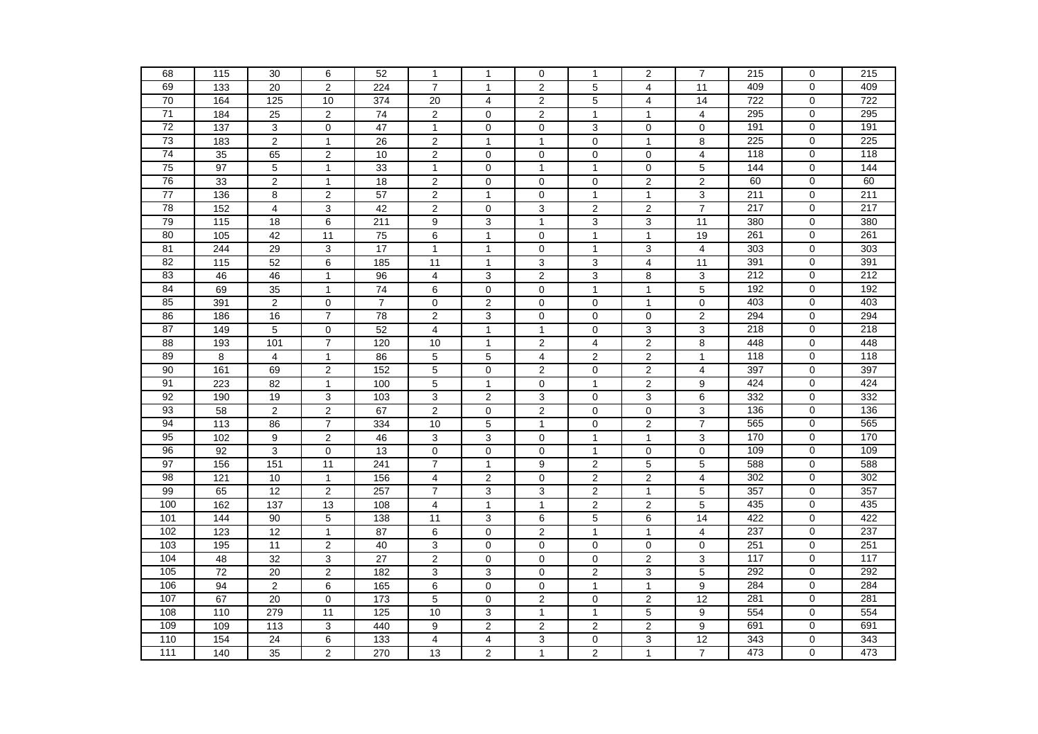| 68              | 115               | 30                      | 6                | 52              | $\mathbf{1}$            | $\mathbf{1}$     | $\mathbf 0$      | $\mathbf{1}$     | 2                       | $\overline{7}$  | 215 | $\mathbf 0$    | 215              |
|-----------------|-------------------|-------------------------|------------------|-----------------|-------------------------|------------------|------------------|------------------|-------------------------|-----------------|-----|----------------|------------------|
| 69              | $\overline{133}$  | $\overline{20}$         | $\overline{2}$   | 224             | $\overline{7}$          | $\mathbf{1}$     | $\overline{2}$   | $\overline{5}$   | $\overline{4}$          | 11              | 409 | $\mathbf 0$    | 409              |
| 70              | 164               | 125                     | 10               | 374             | 20                      | $\overline{4}$   | $\overline{2}$   | 5                | $\overline{4}$          | 14              | 722 | $\mathbf 0$    | 722              |
| 71              | 184               | 25                      | $\overline{2}$   | 74              | 2                       | 0                | 2                | $\mathbf{1}$     | 1                       | 4               | 295 | 0              | 295              |
| 72              | 137               | 3                       | $\mathbf 0$      | 47              | $\mathbf{1}$            | 0                | $\mathbf 0$      | 3                | 0                       | 0               | 191 | $\mathbf 0$    | 191              |
| 73              | 183               | 2                       | $\mathbf{1}$     | 26              | $\overline{2}$          | $\mathbf{1}$     | $\overline{1}$   | $\mathbf 0$      | $\mathbf{1}$            | 8               | 225 | $\mathbf 0$    | 225              |
| 74              | 35                | 65                      | $\overline{2}$   | 10              | $\overline{2}$          | $\mathbf 0$      | $\mathbf 0$      | 0                | $\mathbf 0$             | $\overline{4}$  | 118 | $\mathbf 0$    | 118              |
| $\overline{75}$ | 97                | $\overline{5}$          | $\mathbf{1}$     | 33              | $\mathbf{1}$            | 0                | $\overline{1}$   | $\mathbf{1}$     | 0                       | $\overline{5}$  | 144 | $\mathbf 0$    | 144              |
| 76              | 33                | $\overline{2}$          | $\mathbf{1}$     | 18              | $\overline{2}$          | $\pmb{0}$        | $\overline{0}$   | $\pmb{0}$        | $\overline{2}$          | $\overline{2}$  | 60  | $\Omega$       | 60               |
| 77              | 136               | 8                       | $\boldsymbol{2}$ | 57              | $\overline{c}$          | $\mathbf{1}$     | $\mathbf 0$      | $\mathbf{1}$     | $\mathbf{1}$            | 3               | 211 | $\mathbf 0$    | 211              |
| 78              | 152               | $\overline{4}$          | 3                | 42              | $\overline{2}$          | $\mathbf 0$      | 3                | $\overline{2}$   | $\overline{2}$          | $\overline{7}$  | 217 | $\mathbf 0$    | 217              |
| 79              | 115               | 18                      | 6                | 211             | 9                       | 3                | $\mathbf{1}$     | 3                | 3                       | 11              | 380 | $\mathbf 0$    | 380              |
| 80              | 105               | 42                      | 11               | 75              | 6                       | $\mathbf{1}$     | $\mathbf 0$      | $\mathbf{1}$     | $\mathbf{1}$            | 19              | 261 | $\mathbf 0$    | 261              |
| 81              | 244               | 29                      | 3                | 17              | $\mathbf{1}$            | 1                | $\mathbf 0$      | $\mathbf{1}$     | 3                       | 4               | 303 | $\mathbf 0$    | 303              |
| 82              | $\frac{115}{115}$ | 52                      | 6                | 185             | $\overline{11}$         | $\mathbf{1}$     | 3                | 3                | $\overline{4}$          | 11              | 391 | $\overline{0}$ | 391              |
| 83              | 46                | 46                      | $\mathbf{1}$     | 96              | 4                       | 3                | $\overline{c}$   | $\mathbf{3}$     | 8                       | 3               | 212 | $\mathbf 0$    | 212              |
| 84              | 69                | $\overline{35}$         | $\mathbf{1}$     | 74              | $\overline{6}$          | $\pmb{0}$        | $\mathbf 0$      | $\mathbf{1}$     | 1                       | 5               | 192 | $\mathbf 0$    | 192              |
| 85              | 391               | $\sqrt{2}$              | $\mathbf 0$      | $\overline{7}$  | $\mathsf 0$             | $\overline{2}$   | $\mathbf 0$      | 0                | $\mathbf{1}$            | $\mathbf 0$     | 403 | $\mathbf 0$    | 403              |
| 86              | 186               | 16                      | $\overline{7}$   | $\overline{78}$ | $\overline{2}$          | 3                | $\mathbf 0$      | 0                | 0                       | $\overline{c}$  | 294 | $\mathbf 0$    | 294              |
| 87              | 149               | 5                       | $\mathbf 0$      | 52              | 4                       | 1                | $\mathbf{1}$     | 0                | 3                       | 3               | 218 | 0              | $\overline{218}$ |
| 88              | 193               | 101                     | $\overline{7}$   | 120             | 10                      | $\mathbf{1}$     | $\boldsymbol{2}$ | 4                | $\overline{c}$          | 8               | 448 | $\mathbf 0$    | 448              |
| 89              | 8                 | $\overline{4}$          | $\mathbf{1}$     | 86              | 5                       | 5                | $\overline{4}$   | $\overline{2}$   | 2                       | $\mathbf{1}$    | 118 | $\mathbf 0$    | 118              |
| 90              | 161               | 69                      | $\overline{2}$   | 152             | $\overline{5}$          | $\pmb{0}$        | $\overline{2}$   | 0                | 2                       | $\overline{4}$  | 397 | $\mathbf 0$    | 397              |
| 91              | 223               | 82                      | $\mathbf{1}$     | 100             | 5                       | $\mathbf{1}$     | $\mathbf 0$      | $\mathbf{1}$     | $\overline{c}$          | 9               | 424 | $\mathbf 0$    | 424              |
| 92              | 190               | 19                      | 3                | $\frac{103}{2}$ | 3                       | $\overline{2}$   | 3                | 0                | $\overline{3}$          | $\overline{6}$  | 332 | $\mathbf 0$    | 332              |
| 93              | 58                | $\overline{\mathbf{c}}$ | $\mathbf 2$      | 67              | $\overline{c}$          | $\pmb{0}$        | $\mathbf 2$      | 0                | 0                       | 3               | 136 | 0              | 136              |
| 94              | 113               | 86                      | $\overline{7}$   | 334             | 10                      | 5                | $\mathbf{1}$     | $\mathbf 0$      | 2                       | $\overline{7}$  | 565 | $\mathbf 0$    | 565              |
| 95              | 102               | 9                       | $\overline{c}$   | 46              | 3                       | $\mathsf 3$      | $\mathbf 0$      | $\mathbf{1}$     | $\mathbf{1}$            | 3               | 170 | $\mathbf 0$    | 170              |
| 96              | 92                | 3                       | $\pmb{0}$        | 13              | 0                       | $\pmb{0}$        | $\mathbf 0$      | $\mathbf{1}$     | 0                       | 0               | 109 | $\mathbf 0$    | 109              |
| 97              | 156               | 151                     | 11               | 241             | $\overline{7}$          | 1                | 9                | $\boldsymbol{2}$ | 5                       | 5               | 588 | $\mathbf 0$    | 588              |
| 98              | 121               | 10                      | $\mathbf{1}$     | 156             | $\overline{4}$          | $\overline{c}$   | $\overline{0}$   | $\overline{2}$   | $\overline{c}$          | $\overline{4}$  | 302 | $\mathbf 0$    | 302              |
| 99              | 65                | 12                      | $\overline{c}$   | 257             | $\overline{7}$          | 3                | 3                | $\overline{2}$   | $\mathbf{1}$            | 5               | 357 | 0              | 357              |
| 100             | 162               | 137                     | 13               | 108             | 4                       | $\mathbf{1}$     | $\overline{1}$   | $\overline{2}$   | 2                       | 5               | 435 | $\mathbf 0$    | 435              |
| 101             | 144               | 90                      | 5                | 138             | 11                      | $\mathsf 3$      | 6                | 5                | 6                       | $\overline{14}$ | 422 | $\mathbf 0$    | 422              |
| 102             | 123               | 12                      | $\mathbf{1}$     | $\overline{87}$ | 6                       | $\mathbf 0$      | $\overline{c}$   | $\mathbf{1}$     | $\mathbf{1}$            | 4               | 237 | $\mathbf 0$    | 237              |
| 103             | 195               | 11                      | $\boldsymbol{2}$ | 40              | 3                       | 0                | 0                | $\mathbf 0$      | 0                       | 0               | 251 | 0              | 251              |
| 104             | 48                | 32                      | 3                | 27              | $\overline{2}$          | 0                | $\mathbf 0$      | $\mathbf 0$      | 2                       | 3               | 117 | $\mathbf 0$    | 117              |
| 105             | 72                | 20                      | 2                | 182             | 3                       | 3                | 0                | $\overline{2}$   | 3                       | 5               | 292 | $\mathbf 0$    | 292              |
| 106             | 94                | $\overline{2}$          | 6                | 165             | 6                       | 0                | $\mathbf 0$      | $\mathbf{1}$     | $\mathbf{1}$            | 9               | 284 | $\mathbf 0$    | 284              |
| 107             | 67                | 20                      | $\mathbf 0$      | 173             | 5                       | $\pmb{0}$        | $\overline{c}$   | 0                | 2                       | 12              | 281 | $\mathbf 0$    | 281              |
| 108             | 110               | 279                     | 11               | 125             | 10                      | 3                | $\mathbf{1}$     | $\mathbf{1}$     | 5                       | 9               | 554 | $\mathbf 0$    | 554              |
| 109             | 109               | 113                     | 3                | 440             | 9                       | $\boldsymbol{2}$ | $\mathbf 2$      | 2                | $\overline{\mathbf{c}}$ | 9               | 691 | $\mathbf 0$    | 691              |
| 110             | 154               | 24                      | 6                | 133             | $\overline{\mathbf{4}}$ | 4                | 3                | 0                | 3                       | 12              | 343 | 0              | 343              |
| 111             | 140               | $\overline{35}$         | $\overline{2}$   | 270             | 13                      | $\overline{c}$   | $\mathbf{1}$     | $\overline{2}$   | $\mathbf{1}$            | $\overline{7}$  | 473 | 0              | 473              |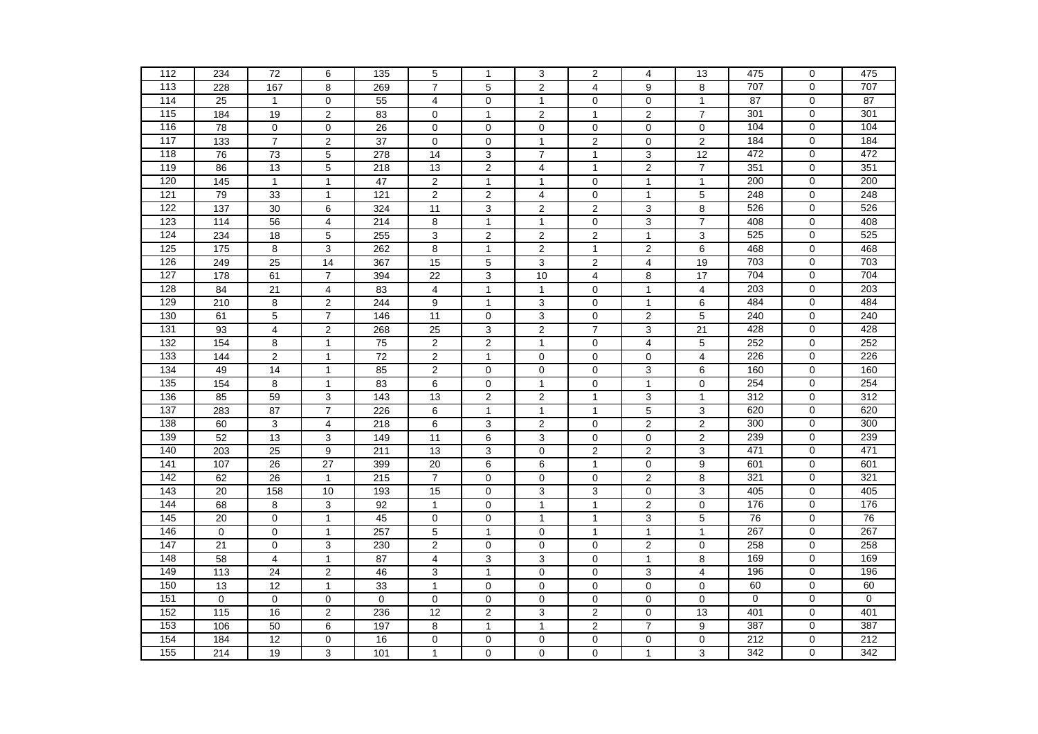| 112              | 234               | 72                      | 6                       | $\overline{135}$ | 5                       | $\mathbf{1}$     | 3                       | $\boldsymbol{2}$        | 4                       | 13                      | 475         | 0              | 475         |
|------------------|-------------------|-------------------------|-------------------------|------------------|-------------------------|------------------|-------------------------|-------------------------|-------------------------|-------------------------|-------------|----------------|-------------|
| 113              | 228               | 167                     | 8                       | 269              | $\overline{7}$          | $\overline{5}$   | $\overline{2}$          | $\overline{\mathbf{4}}$ | 9                       | 8                       | 707         | $\mathbf 0$    | 707         |
| 114              | 25                | $\mathbf{1}$            | $\mathbf 0$             | 55               | $\overline{\mathbf{4}}$ | 0                | $\mathbf{1}$            | 0                       | 0                       | $\mathbf{1}$            | 87          | $\mathbf 0$    | 87          |
| 115              | 184               | 19                      | $\overline{2}$          | 83               | $\mathbf 0$             | $\mathbf{1}$     | $\overline{2}$          | $\mathbf{1}$            | $\overline{2}$          | $\overline{7}$          | 301         | $\mathbf 0$    | 301         |
| 116              | 78                | $\mathbf 0$             | $\mathbf 0$             | 26               | $\mathbf 0$             | 0                | $\mathbf 0$             | 0                       | 0                       | $\mathbf 0$             | 104         | $\mathbf 0$    | 104         |
| 117              | 133               | $\overline{7}$          | $\overline{\mathbf{c}}$ | 37               | $\mathbf 0$             | 0                | $\overline{1}$          | $\overline{c}$          | 0                       | $\mathbf 2$             | 184         | $\mathbf 0$    | 184         |
| 118              | 76                | 73                      | 5                       | 278              | 14                      | 3                | $\overline{7}$          | $\mathbf{1}$            | 3                       | $\overline{12}$         | 472         | 0              | 472         |
| 119              | 86                | 13                      | 5                       | 218              | 13                      | $\overline{c}$   | $\overline{4}$          | $\mathbf{1}$            | $\overline{c}$          | $\overline{7}$          | 351         | $\mathbf 0$    | 351         |
| 120              | 145               | $\mathbf{1}$            | $\mathbf{1}$            | 47               | $\overline{2}$          | $\mathbf{1}$     | $\mathbf{1}$            | $\mathbf 0$             | $\mathbf{1}$            | $\mathbf{1}$            | 200         | $\mathbf 0$    | 200         |
| 121              | 79                | 33                      | $\mathbf{1}$            | 121              | $\mathbf 2$             | $\boldsymbol{2}$ | $\overline{\mathbf{4}}$ | $\pmb{0}$               | $\mathbf{1}$            | 5                       | 248         | $\mathbf 0$    | 248         |
| 122              | $\overline{137}$  | 30                      | 6                       | 324              | 11                      | 3                | $\overline{2}$          | $\overline{2}$          | 3                       | 8                       | 526         | $\mathbf 0$    | 526         |
| 123              | $\frac{114}{114}$ | 56                      | 4                       | $\overline{214}$ | 8                       | $\mathbf{1}$     | $\mathbf{1}$            | $\pmb{0}$               | 3                       | $\overline{7}$          | 408         | $\pmb{0}$      | 408         |
| 124              | 234               | 18                      | 5                       | 255              | 3                       | $\boldsymbol{2}$ | $\mathbf 2$             | $\boldsymbol{2}$        | $\mathbf{1}$            | 3                       | 525         | $\mathbf 0$    | 525         |
| 125              | $\frac{1}{175}$   | 8                       | 3                       | 262              | 8                       | $\mathbf{1}$     | $\overline{2}$          | $\mathbf{1}$            | $\overline{c}$          | 6                       | 468         | $\mathbf 0$    | 468         |
| 126              | 249               | 25                      | 14                      | 367              | 15                      | $\overline{5}$   | $\overline{3}$          | $\overline{2}$          | $\overline{4}$          | 19                      | 703         | $\overline{0}$ | 703         |
| 127              | 178               | 61                      | $\overline{7}$          | 394              | 22                      | 3                | 10                      | 4                       | 8                       | $\overline{17}$         | 704         | $\mathbf 0$    | 704         |
| 128              | 84                | 21                      | 4                       | 83               | 4                       | $\mathbf{1}$     | $\mathbf{1}$            | $\pmb{0}$               | $\mathbf{1}$            | 4                       | 203         | $\mathbf 0$    | 203         |
| 129              | $\overline{210}$  | $\bf 8$                 | $\overline{2}$          | 244              | 9                       | $\mathbf{1}$     | $\mathsf 3$             | $\mathbf 0$             | $\mathbf{1}$            | 6                       | 484         | $\mathbf 0$    | 484         |
| 130              | 61                | 5                       | $\overline{7}$          | 146              | 11                      | 0                | 3                       | $\mathbf 0$             | 2                       | 5                       | 240         | $\mathbf 0$    | 240         |
| 131              | 93                | $\overline{\mathbf{4}}$ | 2                       | 268              | 25                      | 3                | $\boldsymbol{2}$        | $\overline{7}$          | 3                       | 21                      | 428         | 0              | 428         |
| $\overline{132}$ | 154               | 8                       | $\mathbf{1}$            | $\overline{75}$  | $\mathbf 2$             | $\overline{2}$   | $\overline{1}$          | $\pmb{0}$               | $\overline{\mathbf{4}}$ | 5                       | 252         | $\mathbf 0$    | 252         |
| 133              | 144               | $\mathbf 2$             | $\mathbf{1}$            | $\overline{72}$  | $\mathbf 2$             | $\mathbf{1}$     | $\pmb{0}$               | $\pmb{0}$               | $\mathsf 0$             | $\overline{4}$          | 226         | $\pmb{0}$      | 226         |
| 134              | 49                | 14                      | $\mathbf{1}$            | 85               | $\overline{c}$          | 0                | $\mathbf 0$             | $\pmb{0}$               | 3                       | 6                       | 160         | $\mathbf 0$    | 160         |
| 135              | 154               | $\bf 8$                 | $\mathbf{1}$            | 83               | 6                       | $\pmb{0}$        | $\overline{1}$          | $\pmb{0}$               | $\mathbf{1}$            | $\mathbf 0$             | 254         | $\mathbf 0$    | 254         |
| 136              | 85                | 59                      | $\overline{3}$          | 143              | 13                      | $\overline{c}$   | $\overline{2}$          | $\mathbf{1}$            | $\overline{3}$          | $\mathbf{1}$            | 312         | $\mathbf 0$    | 312         |
| 137              | 283               | 87                      | $\overline{7}$          | 226              | 6                       | $\mathbf{1}$     | $\overline{1}$          | $\mathbf{1}$            | 5                       | 3                       | 620         | $\mathbf 0$    | 620         |
| 138              | 60                | 3                       | $\overline{4}$          | 218              | 6                       | 3                | $\overline{2}$          | $\mathbf 0$             | $\overline{c}$          | $\mathbf 2$             | 300         | $\mathbf 0$    | 300         |
| 139              | 52                | 13                      | 3                       | 149              | 11                      | 6                | $\mathsf 3$             | $\pmb{0}$               | 0                       | $\mathbf 2$             | 239         | $\mathbf 0$    | 239         |
| 140              | 203               | 25                      | 9                       | 211              | 13                      | 3                | $\mathbf 0$             | 2                       | 2                       | 3                       | 471         | $\mathbf 0$    | 471         |
| 141              | 107               | 26                      | 27                      | 399              | 20                      | 6                | 6                       | $\mathbf{1}$            | 0                       | 9                       | 601         | $\mathbf 0$    | 601         |
| 142              | 62                | 26                      | $\mathbf{1}$            | 215              | $\overline{7}$          | $\mathbf 0$      | $\mathbf 0$             | $\mathbf 0$             | $\overline{2}$          | $\overline{8}$          | 321         | $\overline{0}$ | 321         |
| 143              | $\overline{20}$   | 158                     | 10                      | 193              | 15                      | $\pmb{0}$        | $\overline{3}$          | $\overline{3}$          | 0                       | 3                       | 405         | $\mathbf 0$    | 405         |
| 144              | 68                | 8                       | $\overline{3}$          | 92               | $\mathbf{1}$            | $\mathbf 0$      | $\overline{1}$          | $\mathbf{1}$            | $\overline{c}$          | $\mathsf 0$             | 176         | $\mathbf 0$    | 176         |
| 145              | $\overline{20}$   | $\pmb{0}$               | $\mathbf{1}$            | 45               | $\pmb{0}$               | $\pmb{0}$        | $\mathbf{1}$            | $\mathbf{1}$            | $\overline{3}$          | $\overline{5}$          | 76          | $\mathbf 0$    | 76          |
| 146              | $\pmb{0}$         | $\mathsf{O}\xspace$     | $\mathbf{1}$            | 257              | $\overline{5}$          | $\mathbf{1}$     | $\pmb{0}$               | $\mathbf{1}$            | $\mathbf{1}$            | $\mathbf{1}$            | 267         | $\mathbf 0$    | 267         |
| 147              | 21                | $\mathbf 0$             | 3                       | 230              | $\overline{c}$          | 0                | 0                       | 0                       | $\overline{\mathbf{c}}$ | 0                       | 258         | $\mathbf 0$    | 258         |
| 148              | 58                | $\overline{4}$          | $\mathbf{1}$            | 87               | 4                       | 3                | 3                       | 0                       | $\mathbf{1}$            | 8                       | 169         | $\mathbf 0$    | 169         |
| 149              | 113               | 24                      | $\overline{c}$          | 46               | 3                       | $\mathbf{1}$     | $\mathbf 0$             | $\mathbf 0$             | 3                       | $\overline{\mathbf{4}}$ | 196         | $\mathbf 0$    | 196         |
| 150              | 13                | 12                      | $\mathbf{1}$            | 33               | $\mathbf{1}$            | 0                | $\mathbf 0$             | 0                       | 0                       | $\mathbf 0$             | 60          | $\mathbf 0$    | 60          |
| 151              | $\mathbf 0$       | $\mathbf 0$             | $\mathbf 0$             | $\mathbf 0$      | $\mathbf 0$             | $\pmb{0}$        | $\mathbf 0$             | 0                       | 0                       | $\mathbf 0$             | $\mathbf 0$ | $\mathbf 0$    | $\mathbf 0$ |
| 152              | 115               | 16                      | $\overline{c}$          | 236              | 12                      | $\overline{c}$   | $\mathsf 3$             | $\overline{c}$          | $\pmb{0}$               | 13                      | 401         | $\mathbf 0$    | 401         |
| $\overline{153}$ | 106               | 50                      | 6                       | 197              | 8                       | $\mathbf{1}$     | $\overline{1}$          | $\overline{c}$          | $\boldsymbol{7}$        | 9                       | 387         | $\mathbf 0$    | 387         |
| 154              | 184               | 12                      | $\mathbf 0$             | 16               | 0                       | $\pmb{0}$        | $\pmb{0}$               | $\mathbf 0$             | 0                       | 0                       | 212         | $\mathbf 0$    | 212         |
| 155              | 214               | 19                      | 3                       | 101              | $\mathbf{1}$            | $\pmb{0}$        | $\pmb{0}$               | 0                       | $\mathbf{1}$            | 3                       | 342         | $\mathbf 0$    | 342         |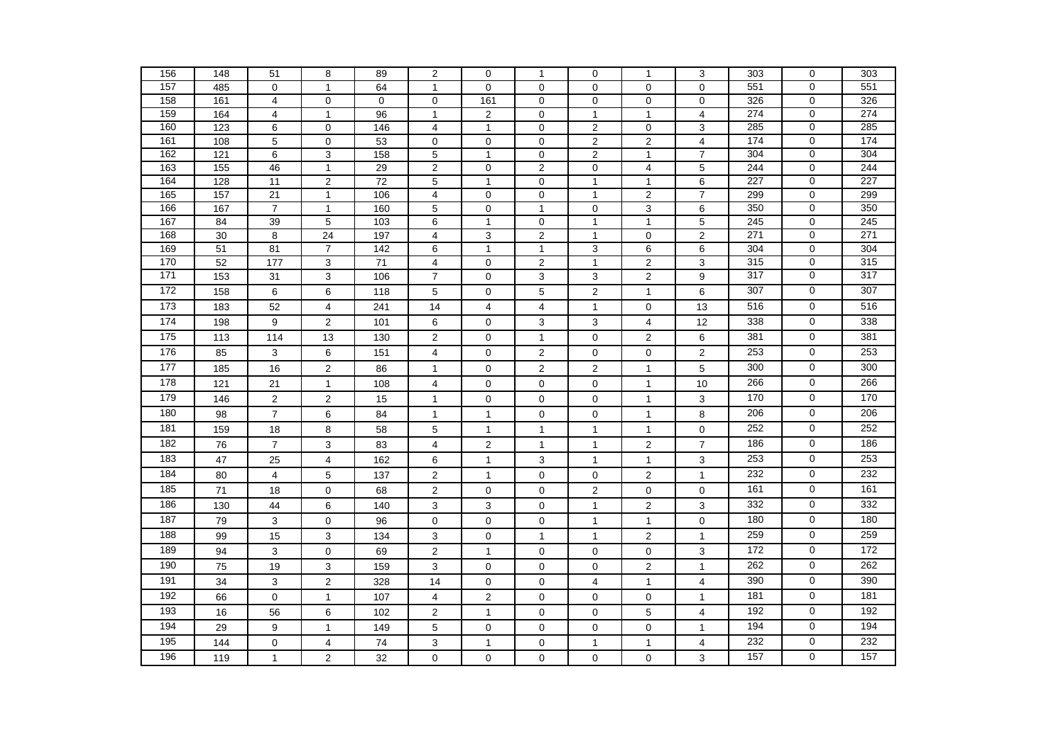| 156        | 148             | 51                      | 8                                | 89          | $\overline{c}$                   | 0                         | $\mathbf{1}$                | $\pmb{0}$                        | 1                              | 3                                | 303        | $\mathbf 0$                   | 303        |
|------------|-----------------|-------------------------|----------------------------------|-------------|----------------------------------|---------------------------|-----------------------------|----------------------------------|--------------------------------|----------------------------------|------------|-------------------------------|------------|
| 157        | 485             | $\mathbf 0$             | $\mathbf{1}$                     | 64          | $\mathbf{1}$                     | 0                         | $\mathbf 0$                 | 0                                | 0                              | $\mathbf 0$                      | 551        | $\mathbf 0$                   | 551        |
| 158        | 161             | $\overline{4}$          | $\pmb{0}$                        | $\mathbf 0$ | 0                                | 161                       | $\mathbf 0$                 | 0                                | 0                              | $\pmb{0}$                        | 326        | $\mathbf 0$                   | 326        |
| 159        | 164             | $\overline{4}$          | $\mathbf{1}$                     | 96          | $\mathbf{1}$                     | $\boldsymbol{2}$          | $\pmb{0}$                   | $\mathbf{1}$                     | $\mathbf{1}$                   | $\overline{4}$                   | 274        | $\mathbf 0$                   | 274        |
| 160        | 123             | 6                       | $\mathbf 0$                      | 146         | $\overline{4}$                   | $\mathbf{1}$              | $\mathbf 0$                 | $\overline{2}$                   | 0                              | $\overline{3}$                   | 285        | $\mathbf 0$                   | 285        |
| 161        | 108             | 5                       | $\mathbf 0$                      | 53          | $\mathbf 0$                      | $\pmb{0}$                 | $\mathbf 0$                 | $\overline{2}$                   | $\overline{\mathbf{c}}$        | $\overline{4}$                   | 174        | $\mathbf 0$                   | 174        |
| 162<br>163 | 121<br>155      | $\overline{6}$<br>46    | $\overline{3}$<br>$\overline{1}$ | 158<br>29   | $\overline{5}$<br>$\overline{2}$ | $\mathbf{1}$<br>$\pmb{0}$ | $\pmb{0}$<br>$\overline{2}$ | $\overline{2}$<br>$\overline{0}$ | $\mathbf{1}$<br>$\overline{4}$ | $\overline{7}$<br>$\overline{5}$ | 304<br>244 | $\mathbf 0$<br>$\overline{0}$ | 304<br>244 |
| 164        | 128             | 11                      | $\overline{2}$                   | 72          | 5                                | $\mathbf{1}$              | $\mathbf 0$                 | $\mathbf{1}$                     | $\mathbf{1}$                   | $\overline{6}$                   | 227        | 0                             | 227        |
| 165        | 157             | 21                      | $\mathbf{1}$                     | 106         | 4                                | $\pmb{0}$                 | $\mathbf 0$                 | $\mathbf{1}$                     | 2                              | $\overline{7}$                   | 299        | 0                             | 299        |
| 166        | 167             | $\overline{7}$          | $\mathbf{1}$                     | 160         | 5                                | $\pmb{0}$                 | $\overline{1}$              | $\mathbf 0$                      | $\overline{3}$                 | $\,6$                            | 350        | $\mathbf 0$                   | 350        |
| 167        | 84              | 39                      | 5                                | 103         | 6                                | $\mathbf{1}$              | $\mathbf 0$                 | $\mathbf{1}$                     | $\mathbf{1}$                   | $\mathbf 5$                      | 245        | 0                             | 245        |
| 168        | 30              | 8                       | 24                               | 197         | 4                                | 3                         | $\boldsymbol{2}$            | $\mathbf{1}$                     | 0                              | $\mathbf 2$                      | 271        | 0                             | 271        |
| 169        | $\overline{51}$ | 81                      | $\overline{7}$                   | 142         | 6                                | $\mathbf{1}$              | $\overline{1}$              | 3                                | 6                              | $\,6$                            | 304        | $\mathbf 0$                   | 304        |
| 170        | 52              | 177                     | 3                                | 71          | $\overline{4}$                   | $\mathbf 0$               | $\overline{2}$              | $\mathbf{1}$                     | $\overline{2}$                 | $\overline{3}$                   | 315        | $\overline{0}$                | 315        |
| 171        | 153             | 31                      | 3                                | 106         | $\overline{7}$                   | $\pmb{0}$                 | 3                           | 3                                | $\overline{\mathbf{c}}$        | 9                                | 317        | 0                             | 317        |
| 172        | 158             | 6                       | 6                                | 118         | 5                                | 0                         | 5                           | $\mathbf 2$                      | $\mathbf{1}$                   | 6                                | 307        | $\pmb{0}$                     | 307        |
| 173        | 183             | 52                      | $\overline{\mathbf{4}}$          | 241         | 14                               | $\overline{\mathbf{4}}$   | $\overline{\mathbf{4}}$     | $\mathbf{1}$                     | $\pmb{0}$                      | 13                               | 516        | $\pmb{0}$                     | 516        |
| 174        | 198             | 9                       | $\overline{2}$                   | 101         | 6                                | $\mathbf 0$               | 3                           | 3                                | 4                              | 12                               | 338        | $\mathbf 0$                   | 338        |
| 175        | 113             | 114                     | 13                               | 130         | $\overline{2}$                   | 0                         | $\overline{1}$              | $\mathbf 0$                      | $\overline{2}$                 | 6                                | 381        | $\mathbf 0$                   | 381        |
| 176        | 85              | 3                       | 6                                | 151         | 4                                | 0                         | $\boldsymbol{2}$            | $\mathbf 0$                      | 0                              | $\overline{\mathbf{c}}$          | 253        | $\mathbf 0$                   | 253        |
| 177        | 185             | 16                      | $\overline{c}$                   | 86          | $\mathbf{1}$                     | $\mathbf 0$               | $\overline{2}$              | $\overline{2}$                   | $\mathbf{1}$                   | 5                                | 300        | $\mathbf 0$                   | 300        |
| 178        | 121             | 21                      | $\mathbf{1}$                     | 108         | 4                                | $\mathbf 0$               | $\mathbf 0$                 | $\mathbf 0$                      | $\mathbf{1}$                   | 10                               | 266        | 0                             | 266        |
| 179        | 146             | $\overline{2}$          | $\overline{2}$                   | 15          | $\mathbf{1}$                     | 0                         | 0                           | $\mathbf 0$                      | $\mathbf{1}$                   | 3                                | 170        | $\mathbf 0$                   | 170        |
| 180        | 98              | $\overline{\mathbf{7}}$ | 6                                | 84          | $\mathbf{1}$                     | $\mathbf{1}$              | $\pmb{0}$                   | $\pmb{0}$                        | $\mathbf{1}$                   | 8                                | 206        | 0                             | 206        |
| 181        | 159             | 18                      | 8                                | 58          | 5                                | $\mathbf{1}$              | $\mathbf{1}$                | $\mathbf{1}$                     | 1                              | $\pmb{0}$                        | 252        | 0                             | 252        |
| 182        | 76              | $\overline{7}$          | 3                                | 83          | 4                                | 2                         | $\mathbf{1}$                | $\mathbf{1}$                     | $\mathbf{2}$                   | $\overline{7}$                   | 186        | $\mathbf 0$                   | 186        |
| 183        | 47              | 25                      | 4                                | 162         | 6                                | $\mathbf{1}$              | $\ensuremath{\mathsf{3}}$   | $\mathbf{1}$                     | $\mathbf{1}$                   | $\mathsf 3$                      | 253        | 0                             | 253        |
| 184        | 80              | $\overline{4}$          | 5                                | 137         | $\overline{2}$                   | $\mathbf{1}$              | $\mathbf 0$                 | $\mathbf 0$                      | $\overline{2}$                 | $\mathbf{1}$                     | 232        | $\mathbf 0$                   | 232        |
| 185        | $\overline{71}$ | 18                      | $\mathbf 0$                      | 68          | $\overline{2}$                   | 0                         | $\mathbf 0$                 | $\overline{2}$                   | 0                              | $\mathbf 0$                      | 161        | $\mathbf 0$                   | 161        |
| 186        | 130             | 44                      | 6                                | 140         | 3                                | $\mathsf 3$               | $\mathbf 0$                 | $\mathbf{1}$                     | $\overline{\mathbf{c}}$        | 3                                | 332        | $\mathbf 0$                   | 332        |
| 187        | 79              | 3                       | $\mathbf 0$                      | 96          | $\pmb{0}$                        | $\pmb{0}$                 | $\mathbf 0$                 | $\mathbf{1}$                     | $\mathbf{1}$                   | $\mathbf 0$                      | 180        | 0                             | 180        |
| 188        | 99              | 15                      | $\mathsf 3$                      | 134         | $\mathbf{3}$                     | $\pmb{0}$                 | $\mathbf{1}$                | $\mathbf{1}$                     | $\overline{2}$                 | $\mathbf{1}$                     | 259        | $\mathbf 0$                   | 259        |
| 189        | 94              | 3                       | $\mathbf 0$                      | 69          | $\mathbf 2$                      | $\mathbf{1}$              | $\pmb{0}$                   | $\overline{0}$                   | 0                              | $\ensuremath{\mathsf{3}}$        | 172        | $\mathbf 0$                   | 172        |
| 190        | 75              | 19                      | 3                                | 159         | 3                                | $\mathbf 0$               | $\mathbf 0$                 | 0                                | $\overline{c}$                 | $\mathbf{1}$                     | 262        | $\mathbf 0$                   | 262        |
| 191        | 34              | 3                       | $\boldsymbol{2}$                 | 328         | 14                               | $\pmb{0}$                 | $\pmb{0}$                   | 4                                | 1                              | 4                                | 390        | $\mathbf 0$                   | 390        |
| 192        | 66              | $\mathbf 0$             | $\mathbf{1}$                     | 107         | 4                                | $\overline{2}$            | $\mathbf 0$                 | 0                                | 0                              | $\mathbf{1}$                     | 181        | $\mathbf 0$                   | 181        |
| 193        | 16              | 56                      | 6                                | 102         | $\overline{2}$                   | $\mathbf{1}$              | $\mathbf 0$                 | $\mathbf 0$                      | 5                              | $\overline{4}$                   | 192        | $\mathbf 0$                   | 192        |
| 194        | 29              | 9                       | $\mathbf{1}$                     | 149         | 5                                | $\pmb{0}$                 | $\mathbf 0$                 | $\mathbf 0$                      | 0                              | $\mathbf{1}$                     | 194        | 0                             | 194        |
| 195        | 144             | $\mathbf 0$             | 4                                | 74          | 3                                | $\mathbf{1}$              | $\mathbf 0$                 | $\mathbf{1}$                     | $\mathbf{1}$                   | 4                                | 232        | $\mathbf 0$                   | 232        |
| 196        | 119             | $\mathbf{1}$            | $\overline{2}$                   | 32          | 0                                | $\pmb{0}$                 | $\mathbf 0$                 | 0                                | 0                              | 3                                | 157        | $\mathbf 0$                   | 157        |